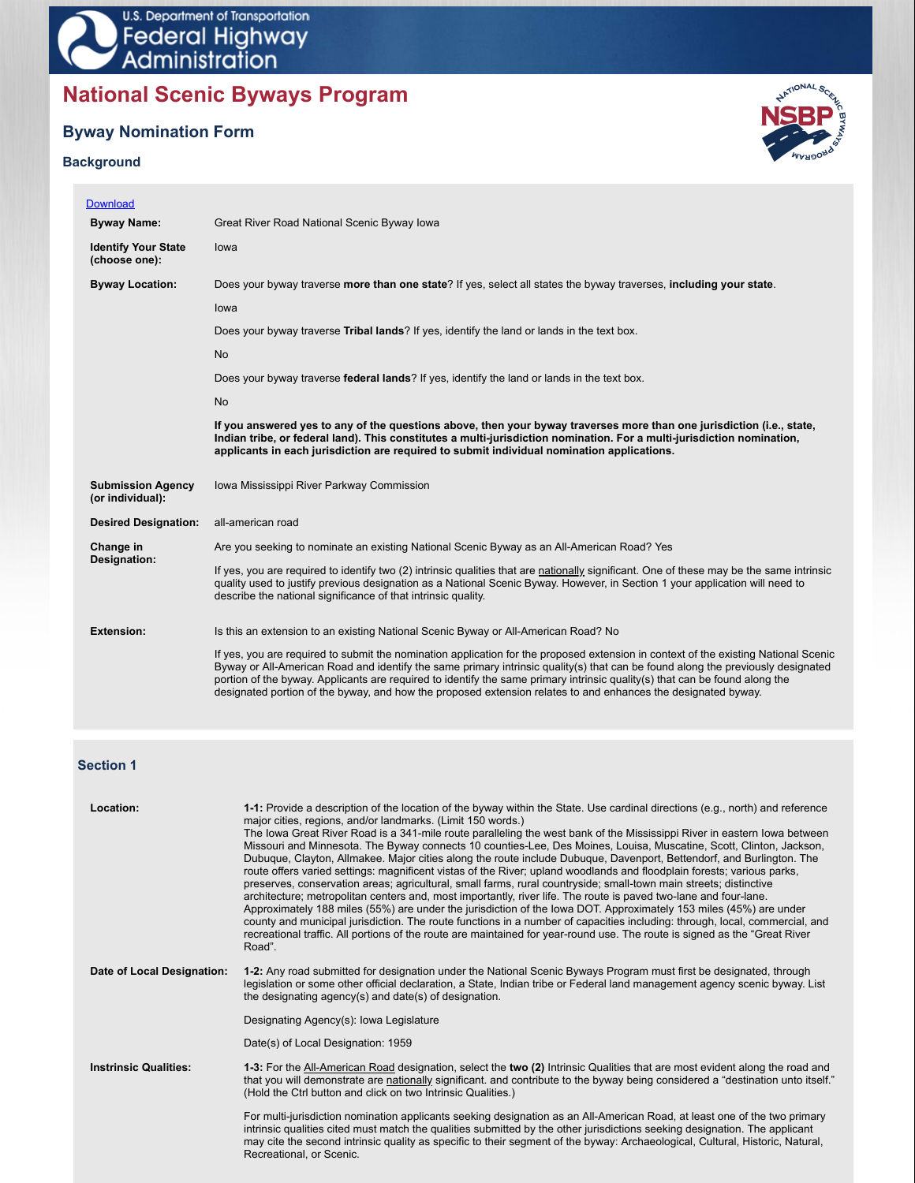# **National Scenic Byways Program**

## **Byway Nomination Form**

## **Background**



| <b>Download</b>                              |                                                                                                                                                                                                                                                                                                                                                                                                                                                                                                                        |
|----------------------------------------------|------------------------------------------------------------------------------------------------------------------------------------------------------------------------------------------------------------------------------------------------------------------------------------------------------------------------------------------------------------------------------------------------------------------------------------------------------------------------------------------------------------------------|
| <b>Byway Name:</b>                           | Great River Road National Scenic Byway Iowa                                                                                                                                                                                                                                                                                                                                                                                                                                                                            |
| <b>Identify Your State</b><br>(choose one):  | lowa                                                                                                                                                                                                                                                                                                                                                                                                                                                                                                                   |
| <b>Byway Location:</b>                       | Does your byway traverse more than one state? If yes, select all states the byway traverses, including your state.                                                                                                                                                                                                                                                                                                                                                                                                     |
|                                              | lowa                                                                                                                                                                                                                                                                                                                                                                                                                                                                                                                   |
|                                              | Does your byway traverse Tribal lands? If yes, identify the land or lands in the text box.                                                                                                                                                                                                                                                                                                                                                                                                                             |
|                                              | <b>No</b>                                                                                                                                                                                                                                                                                                                                                                                                                                                                                                              |
|                                              | Does your byway traverse federal lands? If yes, identify the land or lands in the text box.                                                                                                                                                                                                                                                                                                                                                                                                                            |
|                                              | <b>No</b>                                                                                                                                                                                                                                                                                                                                                                                                                                                                                                              |
|                                              | If you answered yes to any of the questions above, then your byway traverses more than one jurisdiction (i.e., state,<br>Indian tribe, or federal land). This constitutes a multi-jurisdiction nomination. For a multi-jurisdiction nomination,<br>applicants in each jurisdiction are required to submit individual nomination applications.                                                                                                                                                                          |
| <b>Submission Agency</b><br>(or individual): | Iowa Mississippi River Parkway Commission                                                                                                                                                                                                                                                                                                                                                                                                                                                                              |
| <b>Desired Designation:</b>                  | all-american road                                                                                                                                                                                                                                                                                                                                                                                                                                                                                                      |
| Change in                                    | Are you seeking to nominate an existing National Scenic Byway as an All-American Road? Yes                                                                                                                                                                                                                                                                                                                                                                                                                             |
| Designation:                                 | If yes, you are required to identify two (2) intrinsic qualities that are nationally significant. One of these may be the same intrinsic<br>quality used to justify previous designation as a National Scenic Byway. However, in Section 1 your application will need to<br>describe the national significance of that intrinsic quality.                                                                                                                                                                              |
| <b>Extension:</b>                            | Is this an extension to an existing National Scenic Byway or All-American Road? No                                                                                                                                                                                                                                                                                                                                                                                                                                     |
|                                              | If yes, you are required to submit the nomination application for the proposed extension in context of the existing National Scenic<br>Byway or All-American Road and identify the same primary intrinsic quality(s) that can be found along the previously designated<br>portion of the byway. Applicants are required to identify the same primary intrinsic quality(s) that can be found along the<br>designated portion of the byway, and how the proposed extension relates to and enhances the designated byway. |

## **Section 1**

| Location:                    | 1-1: Provide a description of the location of the byway within the State. Use cardinal directions (e.g., north) and reference<br>major cities, regions, and/or landmarks. (Limit 150 words.)<br>The Iowa Great River Road is a 341-mile route paralleling the west bank of the Mississippi River in eastern Iowa between<br>Missouri and Minnesota. The Byway connects 10 counties-Lee, Des Moines, Louisa, Muscatine, Scott, Clinton, Jackson,<br>Dubuque, Clayton, Allmakee. Major cities along the route include Dubuque, Davenport, Bettendorf, and Burlington. The<br>route offers varied settings: magnificent vistas of the River; upland woodlands and floodplain forests; various parks,<br>preserves, conservation areas; agricultural, small farms, rural countryside; small-town main streets; distinctive<br>architecture; metropolitan centers and, most importantly, river life. The route is paved two-lane and four-lane.<br>Approximately 188 miles (55%) are under the jurisdiction of the lowa DOT. Approximately 153 miles (45%) are under<br>county and municipal jurisdiction. The route functions in a number of capacities including: through, local, commercial, and<br>recreational traffic. All portions of the route are maintained for year-round use. The route is signed as the "Great River"<br>Road". |
|------------------------------|-----------------------------------------------------------------------------------------------------------------------------------------------------------------------------------------------------------------------------------------------------------------------------------------------------------------------------------------------------------------------------------------------------------------------------------------------------------------------------------------------------------------------------------------------------------------------------------------------------------------------------------------------------------------------------------------------------------------------------------------------------------------------------------------------------------------------------------------------------------------------------------------------------------------------------------------------------------------------------------------------------------------------------------------------------------------------------------------------------------------------------------------------------------------------------------------------------------------------------------------------------------------------------------------------------------------------------------------|
| Date of Local Designation:   | 1-2: Any road submitted for designation under the National Scenic Byways Program must first be designated, through<br>legislation or some other official declaration, a State, Indian tribe or Federal land management agency scenic byway. List<br>the designating agency(s) and date(s) of designation.                                                                                                                                                                                                                                                                                                                                                                                                                                                                                                                                                                                                                                                                                                                                                                                                                                                                                                                                                                                                                               |
|                              | Designating Agency(s): Iowa Legislature                                                                                                                                                                                                                                                                                                                                                                                                                                                                                                                                                                                                                                                                                                                                                                                                                                                                                                                                                                                                                                                                                                                                                                                                                                                                                                 |
|                              | Date(s) of Local Designation: 1959                                                                                                                                                                                                                                                                                                                                                                                                                                                                                                                                                                                                                                                                                                                                                                                                                                                                                                                                                                                                                                                                                                                                                                                                                                                                                                      |
| <b>Instrinsic Qualities:</b> | 1-3: For the All-American Road designation, select the two (2) Intrinsic Qualities that are most evident along the road and<br>that you will demonstrate are nationally significant, and contribute to the byway being considered a "destination unto itself."<br>(Hold the Ctrl button and click on two Intrinsic Qualities.)                                                                                                                                                                                                                                                                                                                                                                                                                                                                                                                                                                                                                                                                                                                                                                                                                                                                                                                                                                                                          |
|                              | For multi-jurisdiction nomination applicants seeking designation as an All-American Road, at least one of the two primary<br>intrinsic qualities cited must match the qualities submitted by the other jurisdictions seeking designation. The applicant<br>may cite the second intrinsic quality as specific to their segment of the byway: Archaeological, Cultural, Historic, Natural,<br>Recreational, or Scenic.                                                                                                                                                                                                                                                                                                                                                                                                                                                                                                                                                                                                                                                                                                                                                                                                                                                                                                                    |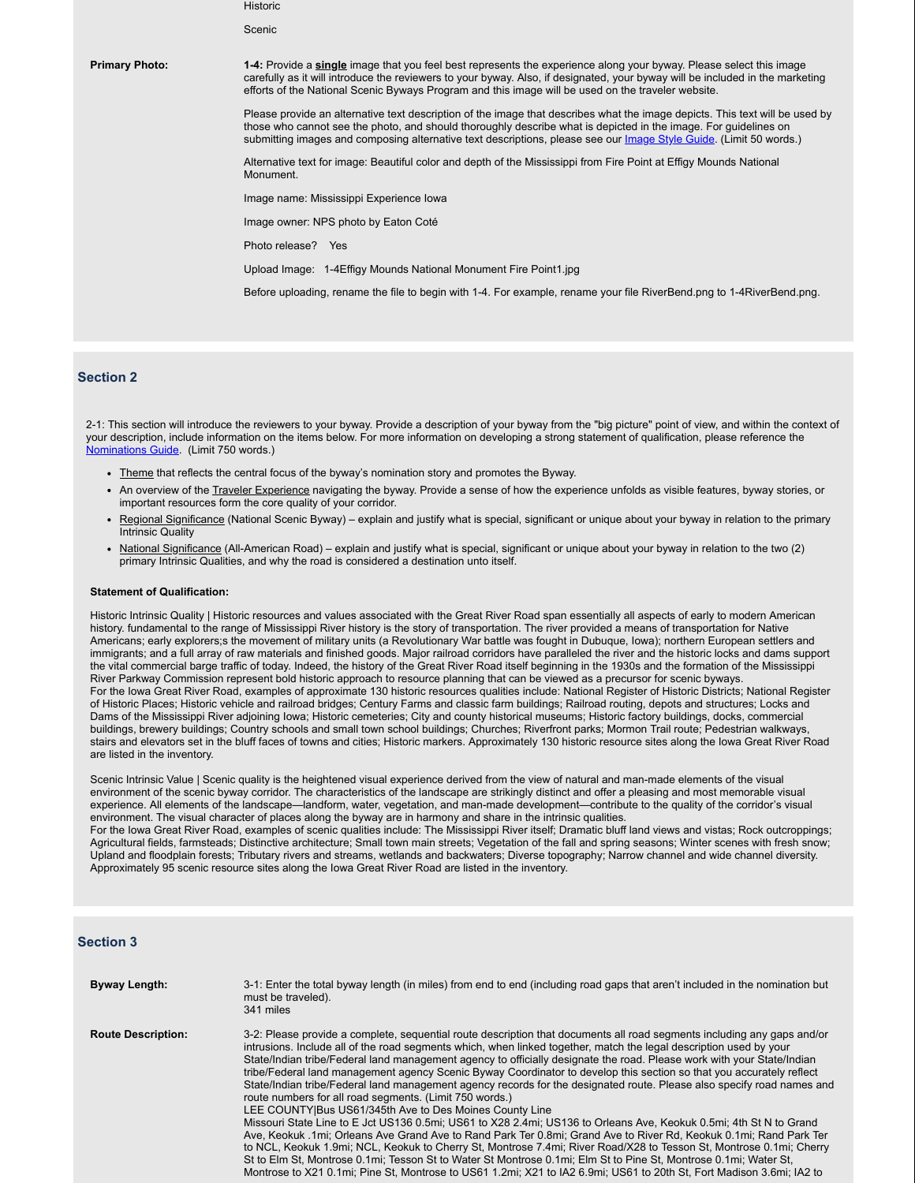**Historic** 

**Scenic** 

**Primary Photo: 1-4:** Provide a **single** image that you feel best represents the experience along your byway. Please select this image carefully as it will introduce the reviewers to your byway. Also, if designated, your byway will be included in the marketing efforts of the National Scenic Byways Program and this image will be used on the traveler website.

> Please provide an alternative text description of the image that describes what the image depicts. This text will be used by those who cannot see the photo, and should thoroughly describe what is depicted in the image. For guidelines on submitting images and composing alternative text descriptions, please see our *Image Style Guide*. (Limit 50 words.)

Alternative text for image: Beautiful color and depth of the Mississippi from Fire Point at Effigy Mounds National Monument.

Image name: Mississippi Experience Iowa

Image owner: NPS photo by Eaton Coté

Photo release? Yes

Upload Image: 1-4Effigy Mounds National Monument Fire Point1.jpg

Before uploading, rename the file to begin with 1-4. For example, rename your file RiverBend.png to 1-4RiverBend.png.

## **Section 2**

2-1: This section will introduce the reviewers to your byway. Provide a description of your byway from the "big picture" point of view, and within the context of your description, include information on the items below. For more information on developing a strong statement of qualification, please reference the Nominations Guide. (Limit 750 words.)

- Theme that reflects the central focus of the byway's nomination story and promotes the Byway.
- An overview of the Traveler Experience navigating the byway. Provide a sense of how the experience unfolds as visible features, byway stories, or important resources form the core quality of your corridor.
- Regional Significance (National Scenic Byway) explain and justify what is special, significant or unique about your byway in relation to the primary Intrinsic Quality
- National Significance (All-American Road) explain and justify what is special, significant or unique about your byway in relation to the two (2) primary Intrinsic Qualities, and why the road is considered a destination unto itself.

#### **Statement of Qualification:**

Historic Intrinsic Quality | Historic resources and values associated with the Great River Road span essentially all aspects of early to modern American history. fundamental to the range of Mississippi River history is the story of transportation. The river provided a means of transportation for Native Americans; early explorers;s the movement of military units (a Revolutionary War battle was fought in Dubuque, Iowa); northern European settlers and immigrants; and a full array of raw materials and finished goods. Major railroad corridors have paralleled the river and the historic locks and dams support the vital commercial barge traffic of today. Indeed, the history of the Great River Road itself beginning in the 1930s and the formation of the Mississippi River Parkway Commission represent bold historic approach to resource planning that can be viewed as a precursor for scenic byways. For the Iowa Great River Road, examples of approximate 130 historic resources qualities include: National Register of Historic Districts; National Register of Historic Places; Historic vehicle and railroad bridges; Century Farms and classic farm buildings; Railroad routing, depots and structures; Locks and Dams of the Mississippi River adjoining Iowa; Historic cemeteries; City and county historical museums; Historic factory buildings, docks, commercial buildings, brewery buildings; Country schools and small town school buildings; Churches; Riverfront parks; Mormon Trail route; Pedestrian walkways, stairs and elevators set in the bluff faces of towns and cities; Historic markers. Approximately 130 historic resource sites along the Iowa Great River Road are listed in the inventory.

Scenic Intrinsic Value | Scenic quality is the heightened visual experience derived from the view of natural and man-made elements of the visual environment of the scenic byway corridor. The characteristics of the landscape are strikingly distinct and offer a pleasing and most memorable visual experience. All elements of the landscape—landform, water, vegetation, and man-made development—contribute to the quality of the corridor's visual environment. The visual character of places along the byway are in harmony and share in the intrinsic qualities. For the Iowa Great River Road, examples of scenic qualities include: The Mississippi River itself; Dramatic bluff land views and vistas; Rock outcroppings;

Agricultural fields, farmsteads; Distinctive architecture; Small town main streets; Vegetation of the fall and spring seasons; Winter scenes with fresh snow; Upland and floodplain forests; Tributary rivers and streams, wetlands and backwaters; Diverse topography; Narrow channel and wide channel diversity. Approximately 95 scenic resource sites along the Iowa Great River Road are listed in the inventory.

#### **Section 3**

| <b>Byway Length:</b>      | 3-1: Enter the total byway length (in miles) from end to end (including road gaps that aren't included in the nomination but<br>must be traveled).<br>341 miles                                                                                                                                                                                                                                                                                                                                                                                                                                                                                                                                                                                                                                                                                                                                                                                                                                                                                                                                                                                                                                                                                                                                                                                                 |
|---------------------------|-----------------------------------------------------------------------------------------------------------------------------------------------------------------------------------------------------------------------------------------------------------------------------------------------------------------------------------------------------------------------------------------------------------------------------------------------------------------------------------------------------------------------------------------------------------------------------------------------------------------------------------------------------------------------------------------------------------------------------------------------------------------------------------------------------------------------------------------------------------------------------------------------------------------------------------------------------------------------------------------------------------------------------------------------------------------------------------------------------------------------------------------------------------------------------------------------------------------------------------------------------------------------------------------------------------------------------------------------------------------|
| <b>Route Description:</b> | 3-2: Please provide a complete, sequential route description that documents all road segments including any gaps and/or<br>intrusions. Include all of the road segments which, when linked together, match the legal description used by your<br>State/Indian tribe/Federal land management agency to officially designate the road. Please work with your State/Indian<br>tribe/Federal land management agency Scenic Byway Coordinator to develop this section so that you accurately reflect<br>State/Indian tribe/Federal land management agency records for the designated route. Please also specify road names and<br>route numbers for all road segments. (Limit 750 words.)<br>LEE COUNTY Bus US61/345th Ave to Des Moines County Line<br>Missouri State Line to E Jct US136 0.5mi; US61 to X28 2.4mi; US136 to Orleans Ave, Keokuk 0.5mi; 4th St N to Grand<br>Ave, Keokuk .1mi; Orleans Ave Grand Ave to Rand Park Ter 0.8mi; Grand Ave to River Rd, Keokuk 0.1mi; Rand Park Ter<br>to NCL, Keokuk 1.9mi; NCL, Keokuk to Cherry St, Montrose 7.4mi; River Road/X28 to Tesson St, Montrose 0.1mi; Cherry<br>St to Elm St, Montrose 0.1mi; Tesson St to Water St Montrose 0.1mi; Elm St to Pine St, Montrose 0.1mi; Water St,<br>Montrose to X21.0 1mi: Pine St. Montrose to US61.1 2mi: X21 to JA2.6 9mi: US61 to 20th St. Fort Madison 3 6mi: JA2 to |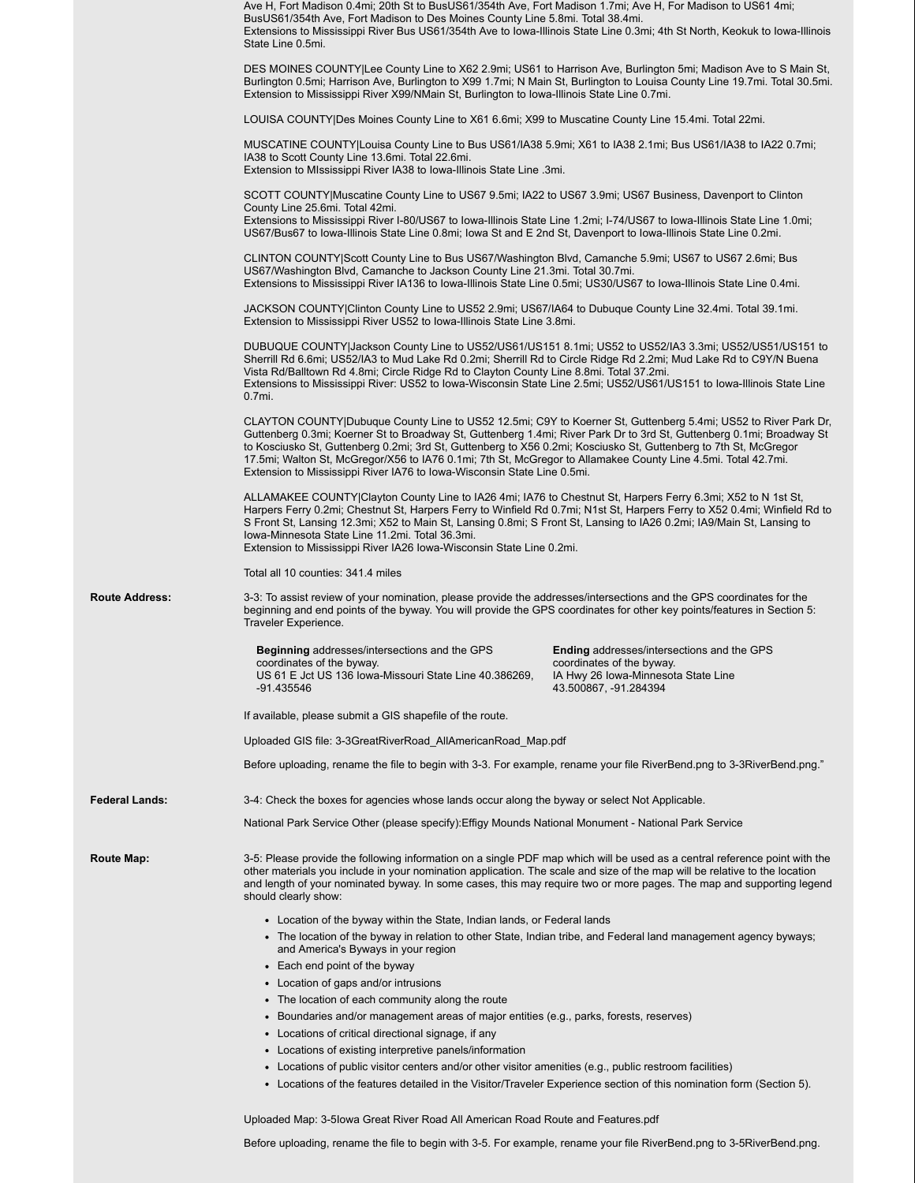|                       | • Locations of the features detailed in the Visitor/Traveler Experience section of this nomination form (Section 5).<br>Uploaded Map: 3-5lowa Great River Road All American Road Route and Features.pdf                                                                                                                                                                                                                                           |
|-----------------------|---------------------------------------------------------------------------------------------------------------------------------------------------------------------------------------------------------------------------------------------------------------------------------------------------------------------------------------------------------------------------------------------------------------------------------------------------|
|                       | • Locations of public visitor centers and/or other visitor amenities (e.g., public restroom facilities)                                                                                                                                                                                                                                                                                                                                           |
|                       | • Locations of existing interpretive panels/information                                                                                                                                                                                                                                                                                                                                                                                           |
|                       | • Locations of critical directional signage, if any                                                                                                                                                                                                                                                                                                                                                                                               |
|                       | • Boundaries and/or management areas of major entities (e.g., parks, forests, reserves)                                                                                                                                                                                                                                                                                                                                                           |
|                       | • The location of each community along the route                                                                                                                                                                                                                                                                                                                                                                                                  |
|                       | • Location of gaps and/or intrusions                                                                                                                                                                                                                                                                                                                                                                                                              |
|                       | • Each end point of the byway                                                                                                                                                                                                                                                                                                                                                                                                                     |
|                       | and America's Byways in your region                                                                                                                                                                                                                                                                                                                                                                                                               |
|                       | • The location of the byway in relation to other State, Indian tribe, and Federal land management agency byways;                                                                                                                                                                                                                                                                                                                                  |
|                       | • Location of the byway within the State, Indian lands, or Federal lands                                                                                                                                                                                                                                                                                                                                                                          |
|                       | should clearly show:                                                                                                                                                                                                                                                                                                                                                                                                                              |
|                       | other materials you include in your nomination application. The scale and size of the map will be relative to the location<br>and length of your nominated byway. In some cases, this may require two or more pages. The map and supporting legend                                                                                                                                                                                                |
| <b>Route Map:</b>     | 3-5: Please provide the following information on a single PDF map which will be used as a central reference point with the                                                                                                                                                                                                                                                                                                                        |
|                       | National Park Service Other (please specify): Effigy Mounds National Monument - National Park Service                                                                                                                                                                                                                                                                                                                                             |
| <b>Federal Lands:</b> | 3-4: Check the boxes for agencies whose lands occur along the byway or select Not Applicable.                                                                                                                                                                                                                                                                                                                                                     |
|                       | Before uploading, rename the file to begin with 3-3. For example, rename your file RiverBend.png to 3-3RiverBend.png."                                                                                                                                                                                                                                                                                                                            |
|                       | Uploaded GIS file: 3-3GreatRiverRoad_AllAmericanRoad_Map.pdf                                                                                                                                                                                                                                                                                                                                                                                      |
|                       | If available, please submit a GIS shapefile of the route.                                                                                                                                                                                                                                                                                                                                                                                         |
|                       | -91.435546<br>43.500867, -91.284394                                                                                                                                                                                                                                                                                                                                                                                                               |
|                       | <b>Beginning addresses/intersections and the GPS</b><br><b>Ending addresses/intersections and the GPS</b><br>coordinates of the byway.<br>coordinates of the byway.<br>US 61 E Jct US 136 Iowa-Missouri State Line 40.386269,<br>IA Hwy 26 Iowa-Minnesota State Line                                                                                                                                                                              |
|                       | 3-3: To assist review of your nomination, please provide the addresses/intersections and the GPS coordinates for the<br>beginning and end points of the byway. You will provide the GPS coordinates for other key points/features in Section 5:<br>Traveler Experience.                                                                                                                                                                           |
| <b>Route Address:</b> | Total all 10 counties: 341.4 miles                                                                                                                                                                                                                                                                                                                                                                                                                |
|                       | Extension to Mississippi River IA26 Iowa-Wisconsin State Line 0.2mi.                                                                                                                                                                                                                                                                                                                                                                              |
|                       | Harpers Ferry 0.2mi; Chestnut St, Harpers Ferry to Winfield Rd 0.7mi; N1st St, Harpers Ferry to X52 0.4mi; Winfield Rd to<br>S Front St, Lansing 12.3mi; X52 to Main St, Lansing 0.8mi; S Front St, Lansing to IA26 0.2mi; IA9/Main St, Lansing to<br>Iowa-Minnesota State Line 11.2mi. Total 36.3mi.                                                                                                                                             |
|                       | ALLAMAKEE COUNTY Clayton County Line to IA26 4mi; IA76 to Chestnut St, Harpers Ferry 6.3mi; X52 to N 1st St,                                                                                                                                                                                                                                                                                                                                      |
|                       | Guttenberg 0.3mi; Koerner St to Broadway St, Guttenberg 1.4mi; River Park Dr to 3rd St, Guttenberg 0.1mi; Broadway St<br>to Kosciusko St, Guttenberg 0.2mi; 3rd St, Guttenberg to X56 0.2mi; Kosciusko St, Guttenberg to 7th St, McGregor<br>17.5mi; Walton St, McGregor/X56 to IA76 0.1mi; 7th St, McGregor to Allamakee County Line 4.5mi. Total 42.7mi.<br>Extension to Mississippi River IA76 to Iowa-Wisconsin State Line 0.5mi.             |
|                       | $0.7mi$ .<br>CLAYTON COUNTY Dubuque County Line to US52 12.5mi; C9Y to Koerner St, Guttenberg 5.4mi; US52 to River Park Dr,                                                                                                                                                                                                                                                                                                                       |
|                       | DUBUQUE COUNTY Jackson County Line to US52/US61/US151 8.1mi; US52 to US52/IA3 3.3mi; US52/US51/US151 to<br>Sherrill Rd 6.6mi; US52/IA3 to Mud Lake Rd 0.2mi; Sherrill Rd to Circle Ridge Rd 2.2mi; Mud Lake Rd to C9Y/N Buena<br>Vista Rd/Balltown Rd 4.8mi; Circle Ridge Rd to Clayton County Line 8.8mi. Total 37.2mi.<br>Extensions to Mississippi River: US52 to Iowa-Wisconsin State Line 2.5mi; US52/US61/US151 to Iowa-Illinois State Line |
|                       | JACKSON COUNTY Clinton County Line to US52 2.9mi; US67/IA64 to Dubuque County Line 32.4mi. Total 39.1mi.<br>Extension to Mississippi River US52 to Iowa-Illinois State Line 3.8mi.                                                                                                                                                                                                                                                                |
|                       | CLINTON COUNTY Scott County Line to Bus US67/Washington Blvd, Camanche 5.9mi; US67 to US67 2.6mi; Bus<br>US67/Washington Blvd, Camanche to Jackson County Line 21.3mi. Total 30.7mi.<br>Extensions to Mississippi River IA136 to Iowa-Illinois State Line 0.5mi; US30/US67 to Iowa-Illinois State Line 0.4mi.                                                                                                                                     |
|                       | Extensions to Mississippi River I-80/US67 to Iowa-Illinois State Line 1.2mi; I-74/US67 to Iowa-Illinois State Line 1.0mi;<br>US67/Bus67 to Iowa-Illinois State Line 0.8mi; Iowa St and E 2nd St, Davenport to Iowa-Illinois State Line 0.2mi.                                                                                                                                                                                                     |
|                       | SCOTT COUNTY Muscatine County Line to US67 9.5mi; IA22 to US67 3.9mi; US67 Business, Davenport to Clinton<br>County Line 25.6mi. Total 42mi.                                                                                                                                                                                                                                                                                                      |
|                       | IA38 to Scott County Line 13.6mi. Total 22.6mi.<br>Extension to MIssissippi River IA38 to Iowa-Illinois State Line .3mi.                                                                                                                                                                                                                                                                                                                          |
|                       | MUSCATINE COUNTY Louisa County Line to Bus US61/IA38 5.9mi; X61 to IA38 2.1mi; Bus US61/IA38 to IA22 0.7mi;                                                                                                                                                                                                                                                                                                                                       |
|                       | LOUISA COUNTY Des Moines County Line to X61 6.6mi; X99 to Muscatine County Line 15.4mi. Total 22mi.                                                                                                                                                                                                                                                                                                                                               |
|                       | DES MOINES COUNTY Lee County Line to X62 2.9mi; US61 to Harrison Ave, Burlington 5mi; Madison Ave to S Main St,<br>Burlington 0.5mi; Harrison Ave, Burlington to X99 1.7mi; N Main St, Burlington to Louisa County Line 19.7mi. Total 30.5mi.<br>Extension to Mississippi River X99/NMain St, Burlington to Iowa-Illinois State Line 0.7mi.                                                                                                       |
|                       | Extensions to Mississippi River Bus US61/354th Ave to Iowa-Illinois State Line 0.3mi; 4th St North, Keokuk to Iowa-Illinois<br>State Line 0.5mi.                                                                                                                                                                                                                                                                                                  |
|                       | Ave H, Fort Madison 0.4mi; 20th St to BusUS61/354th Ave, Fort Madison 1.7mi; Ave H, For Madison to US61 4mi;<br>BusUS61/354th Ave, Fort Madison to Des Moines County Line 5.8mi. Total 38.4mi.                                                                                                                                                                                                                                                    |

Before uploading, rename the file to begin with 3-5. For example, rename your file RiverBend.png to 3-5RiverBend.png.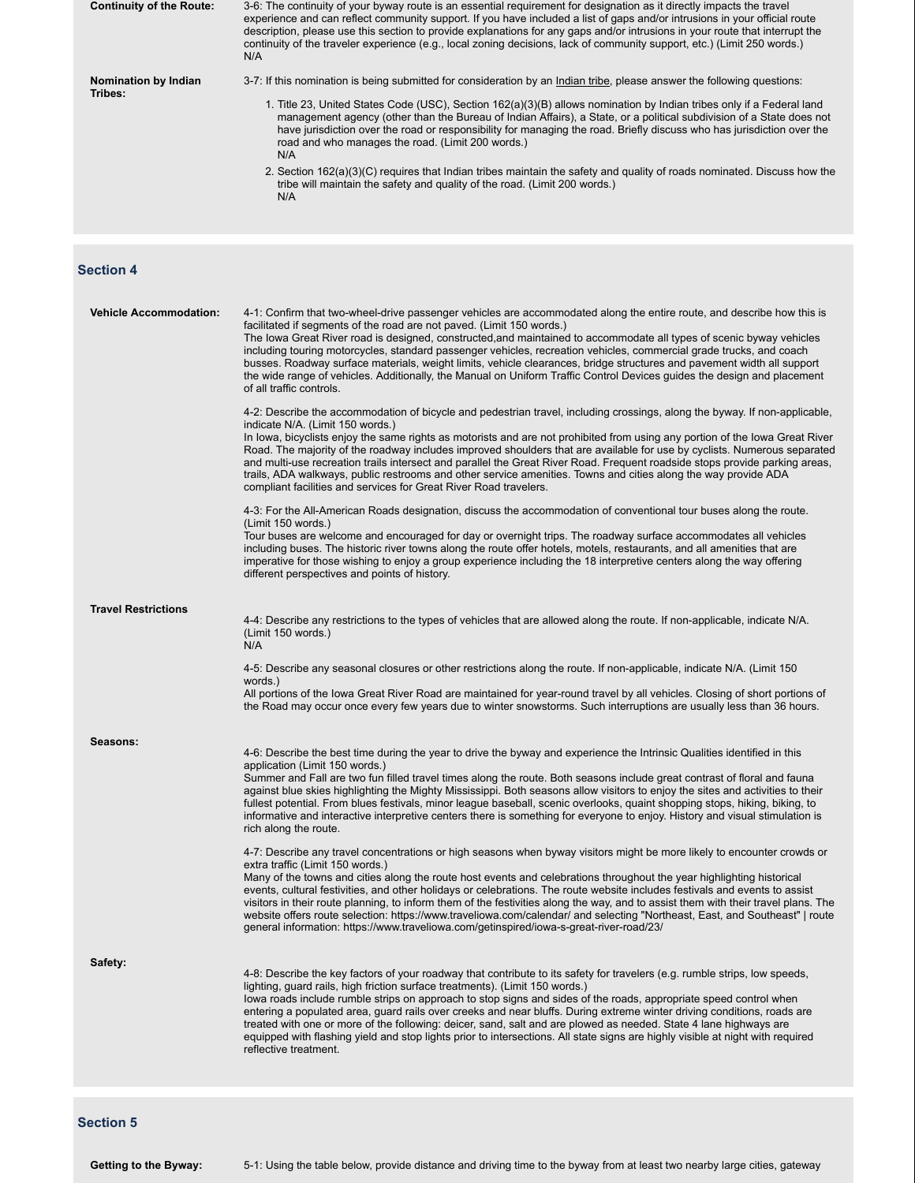| <b>Continuity of the Route:</b> | 3-6: The continuity of your byway route is an essential requirement for designation as it directly impacts the travel<br>experience and can reflect community support. If you have included a list of gaps and/or intrusions in your official route<br>description, please use this section to provide explanations for any gaps and/or intrusions in your route that interrupt the<br>continuity of the traveler experience (e.g., local zoning decisions, lack of community support, etc.) (Limit 250 words.)<br>N/A                                                                                                                                                                                                                                                              |
|---------------------------------|-------------------------------------------------------------------------------------------------------------------------------------------------------------------------------------------------------------------------------------------------------------------------------------------------------------------------------------------------------------------------------------------------------------------------------------------------------------------------------------------------------------------------------------------------------------------------------------------------------------------------------------------------------------------------------------------------------------------------------------------------------------------------------------|
| Nomination by Indian            | 3-7: If this nomination is being submitted for consideration by an Indian tribe, please answer the following questions:                                                                                                                                                                                                                                                                                                                                                                                                                                                                                                                                                                                                                                                             |
| Tribes:                         | 1. Title 23, United States Code (USC), Section 162(a)(3)(B) allows nomination by Indian tribes only if a Federal land<br>management agency (other than the Bureau of Indian Affairs), a State, or a political subdivision of a State does not<br>have jurisdiction over the road or responsibility for managing the road. Briefly discuss who has jurisdiction over the<br>road and who manages the road. (Limit 200 words.)<br>N/A                                                                                                                                                                                                                                                                                                                                                 |
|                                 | 2. Section 162(a)(3)(C) requires that Indian tribes maintain the safety and quality of roads nominated. Discuss how the<br>tribe will maintain the safety and quality of the road. (Limit 200 words.)<br>N/A                                                                                                                                                                                                                                                                                                                                                                                                                                                                                                                                                                        |
| <b>Section 4</b>                |                                                                                                                                                                                                                                                                                                                                                                                                                                                                                                                                                                                                                                                                                                                                                                                     |
| <b>Vehicle Accommodation:</b>   | 4-1: Confirm that two-wheel-drive passenger vehicles are accommodated along the entire route, and describe how this is<br>facilitated if segments of the road are not paved. (Limit 150 words.)<br>The lowa Great River road is designed, constructed, and maintained to accommodate all types of scenic byway vehicles<br>including touring motorcycles, standard passenger vehicles, recreation vehicles, commercial grade trucks, and coach<br>busses. Roadway surface materials, weight limits, vehicle clearances, bridge structures and pavement width all support<br>the wide range of vehicles. Additionally, the Manual on Uniform Traffic Control Devices guides the design and placement<br>of all traffic controls.                                                     |
|                                 | 4-2: Describe the accommodation of bicycle and pedestrian travel, including crossings, along the byway. If non-applicable,<br>indicate N/A. (Limit 150 words.)<br>In Iowa, bicyclists enjoy the same rights as motorists and are not prohibited from using any portion of the Iowa Great River<br>Road. The majority of the roadway includes improved shoulders that are available for use by cyclists. Numerous separated<br>and multi-use recreation trails intersect and parallel the Great River Road. Frequent roadside stops provide parking areas,<br>trails, ADA walkways, public restrooms and other service amenities. Towns and cities along the way provide ADA<br>compliant facilities and services for Great River Road travelers.                                    |
|                                 | 4-3: For the All-American Roads designation, discuss the accommodation of conventional tour buses along the route.<br>(Limit 150 words.)<br>Tour buses are welcome and encouraged for day or overnight trips. The roadway surface accommodates all vehicles<br>including buses. The historic river towns along the route offer hotels, motels, restaurants, and all amenities that are<br>imperative for those wishing to enjoy a group experience including the 18 interpretive centers along the way offering<br>different perspectives and points of history.                                                                                                                                                                                                                    |
| <b>Travel Restrictions</b>      | 4-4: Describe any restrictions to the types of vehicles that are allowed along the route. If non-applicable, indicate N/A.<br>(Limit 150 words.)<br>N/A                                                                                                                                                                                                                                                                                                                                                                                                                                                                                                                                                                                                                             |
|                                 | 4-5: Describe any seasonal closures or other restrictions along the route. If non-applicable, indicate N/A. (Limit 150<br>words.)<br>All portions of the lowa Great River Road are maintained for year-round travel by all vehicles. Closing of short portions of<br>the Road may occur once every few years due to winter snowstorms. Such interruptions are usually less than 36 hours.                                                                                                                                                                                                                                                                                                                                                                                           |
| Seasons:                        | 4-6: Describe the best time during the year to drive the byway and experience the Intrinsic Qualities identified in this<br>application (Limit 150 words.)<br>Summer and Fall are two fun filled travel times along the route. Both seasons include great contrast of floral and fauna<br>against blue skies highlighting the Mighty Mississippi. Both seasons allow visitors to enjoy the sites and activities to their<br>fullest potential. From blues festivals, minor league baseball, scenic overlooks, quaint shopping stops, hiking, biking, to<br>informative and interactive interpretive centers there is something for everyone to enjoy. History and visual stimulation is<br>rich along the route.                                                                    |
|                                 | 4-7: Describe any travel concentrations or high seasons when byway visitors might be more likely to encounter crowds or<br>extra traffic (Limit 150 words.)<br>Many of the towns and cities along the route host events and celebrations throughout the year highlighting historical<br>events, cultural festivities, and other holidays or celebrations. The route website includes festivals and events to assist<br>visitors in their route planning, to inform them of the festivities along the way, and to assist them with their travel plans. The<br>website offers route selection: https://www.traveliowa.com/calendar/ and selecting "Northeast, East, and Southeast"   route<br>general information: https://www.traveliowa.com/getinspired/iowa-s-great-river-road/23/ |
| Safety:                         | 4-8: Describe the key factors of your roadway that contribute to its safety for travelers (e.g. rumble strips, low speeds,<br>lighting, guard rails, high friction surface treatments). (Limit 150 words.)<br>lowa roads include rumble strips on approach to stop signs and sides of the roads, appropriate speed control when<br>entering a populated area, guard rails over creeks and near bluffs. During extreme winter driving conditions, roads are<br>treated with one or more of the following: deicer, sand, salt and are plowed as needed. State 4 lane highways are<br>equipped with flashing yield and stop lights prior to intersections. All state signs are highly visible at night with required<br>reflective treatment.                                          |
|                                 |                                                                                                                                                                                                                                                                                                                                                                                                                                                                                                                                                                                                                                                                                                                                                                                     |

**Section 5**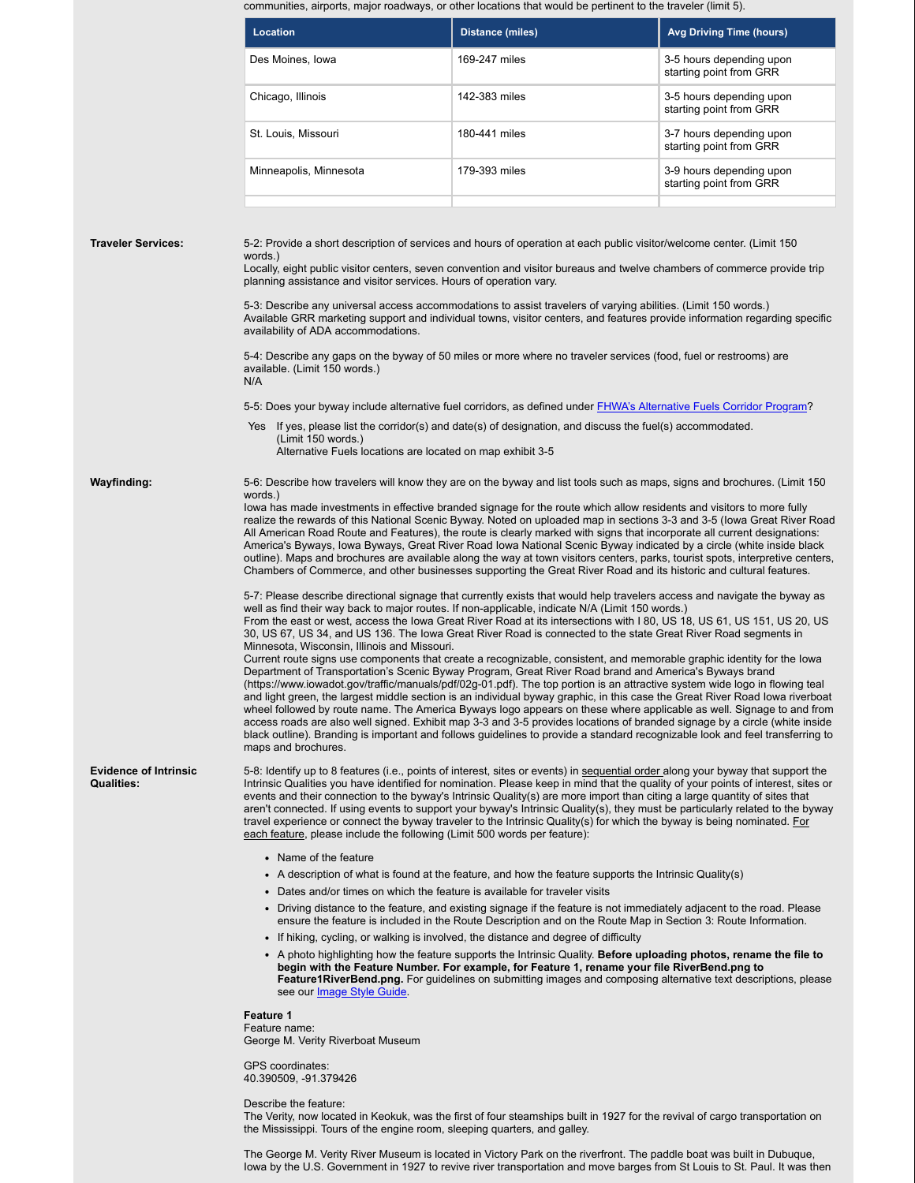communities, airports, major roadways, or other locations that would be pertinent to the traveler (limit 5).

|                                                   | <b>Location</b>                                                                                                                                                                                                                                                                                                                                                                                                                                                                                                                                                                                                                                                                                                                                                                                                                                                                                                                                                                                                                                                                                                                                                                                                                                                                                                                                                                                                                                                                                                                                                                                                                                                                                                                                                                                                                                                                                                                                                                                                                                                                                                                                                                                                                                                                                                            | <b>Distance (miles)</b>                                                                                                                                                                                                                                                                                                                                                                                                                                                                                                                                                                                                                                                                                                                       | <b>Avg Driving Time (hours)</b>                     |  |  |  |  |
|---------------------------------------------------|----------------------------------------------------------------------------------------------------------------------------------------------------------------------------------------------------------------------------------------------------------------------------------------------------------------------------------------------------------------------------------------------------------------------------------------------------------------------------------------------------------------------------------------------------------------------------------------------------------------------------------------------------------------------------------------------------------------------------------------------------------------------------------------------------------------------------------------------------------------------------------------------------------------------------------------------------------------------------------------------------------------------------------------------------------------------------------------------------------------------------------------------------------------------------------------------------------------------------------------------------------------------------------------------------------------------------------------------------------------------------------------------------------------------------------------------------------------------------------------------------------------------------------------------------------------------------------------------------------------------------------------------------------------------------------------------------------------------------------------------------------------------------------------------------------------------------------------------------------------------------------------------------------------------------------------------------------------------------------------------------------------------------------------------------------------------------------------------------------------------------------------------------------------------------------------------------------------------------------------------------------------------------------------------------------------------------|-----------------------------------------------------------------------------------------------------------------------------------------------------------------------------------------------------------------------------------------------------------------------------------------------------------------------------------------------------------------------------------------------------------------------------------------------------------------------------------------------------------------------------------------------------------------------------------------------------------------------------------------------------------------------------------------------------------------------------------------------|-----------------------------------------------------|--|--|--|--|
|                                                   | Des Moines, Iowa                                                                                                                                                                                                                                                                                                                                                                                                                                                                                                                                                                                                                                                                                                                                                                                                                                                                                                                                                                                                                                                                                                                                                                                                                                                                                                                                                                                                                                                                                                                                                                                                                                                                                                                                                                                                                                                                                                                                                                                                                                                                                                                                                                                                                                                                                                           | 169-247 miles                                                                                                                                                                                                                                                                                                                                                                                                                                                                                                                                                                                                                                                                                                                                 | 3-5 hours depending upon<br>starting point from GRR |  |  |  |  |
|                                                   | Chicago, Illinois                                                                                                                                                                                                                                                                                                                                                                                                                                                                                                                                                                                                                                                                                                                                                                                                                                                                                                                                                                                                                                                                                                                                                                                                                                                                                                                                                                                                                                                                                                                                                                                                                                                                                                                                                                                                                                                                                                                                                                                                                                                                                                                                                                                                                                                                                                          | 142-383 miles                                                                                                                                                                                                                                                                                                                                                                                                                                                                                                                                                                                                                                                                                                                                 | 3-5 hours depending upon<br>starting point from GRR |  |  |  |  |
|                                                   | St. Louis, Missouri                                                                                                                                                                                                                                                                                                                                                                                                                                                                                                                                                                                                                                                                                                                                                                                                                                                                                                                                                                                                                                                                                                                                                                                                                                                                                                                                                                                                                                                                                                                                                                                                                                                                                                                                                                                                                                                                                                                                                                                                                                                                                                                                                                                                                                                                                                        | 180-441 miles                                                                                                                                                                                                                                                                                                                                                                                                                                                                                                                                                                                                                                                                                                                                 | 3-7 hours depending upon<br>starting point from GRR |  |  |  |  |
|                                                   | Minneapolis, Minnesota                                                                                                                                                                                                                                                                                                                                                                                                                                                                                                                                                                                                                                                                                                                                                                                                                                                                                                                                                                                                                                                                                                                                                                                                                                                                                                                                                                                                                                                                                                                                                                                                                                                                                                                                                                                                                                                                                                                                                                                                                                                                                                                                                                                                                                                                                                     | 179-393 miles                                                                                                                                                                                                                                                                                                                                                                                                                                                                                                                                                                                                                                                                                                                                 | 3-9 hours depending upon<br>starting point from GRR |  |  |  |  |
| <b>Traveler Services:</b>                         | words.)<br>planning assistance and visitor services. Hours of operation vary.<br>availability of ADA accommodations.<br>available. (Limit 150 words.)<br>N/A<br>Yes If yes, please list the corridor(s) and date(s) of designation, and discuss the fuel(s) accommodated.                                                                                                                                                                                                                                                                                                                                                                                                                                                                                                                                                                                                                                                                                                                                                                                                                                                                                                                                                                                                                                                                                                                                                                                                                                                                                                                                                                                                                                                                                                                                                                                                                                                                                                                                                                                                                                                                                                                                                                                                                                                  | 5-2: Provide a short description of services and hours of operation at each public visitor/welcome center. (Limit 150<br>Locally, eight public visitor centers, seven convention and visitor bureaus and twelve chambers of commerce provide trip<br>5-3: Describe any universal access accommodations to assist travelers of varying abilities. (Limit 150 words.)<br>Available GRR marketing support and individual towns, visitor centers, and features provide information regarding specific<br>5-4: Describe any gaps on the byway of 50 miles or more where no traveler services (food, fuel or restrooms) are<br>5-5: Does your byway include alternative fuel corridors, as defined under FHWA's Alternative Fuels Corridor Program? |                                                     |  |  |  |  |
|                                                   | (Limit 150 words.)<br>Alternative Fuels locations are located on map exhibit 3-5                                                                                                                                                                                                                                                                                                                                                                                                                                                                                                                                                                                                                                                                                                                                                                                                                                                                                                                                                                                                                                                                                                                                                                                                                                                                                                                                                                                                                                                                                                                                                                                                                                                                                                                                                                                                                                                                                                                                                                                                                                                                                                                                                                                                                                           |                                                                                                                                                                                                                                                                                                                                                                                                                                                                                                                                                                                                                                                                                                                                               |                                                     |  |  |  |  |
| Wayfinding:                                       | 5-6: Describe how travelers will know they are on the byway and list tools such as maps, signs and brochures. (Limit 150<br>words.)<br>lowa has made investments in effective branded signage for the route which allow residents and visitors to more fully<br>realize the rewards of this National Scenic Byway. Noted on uploaded map in sections 3-3 and 3-5 (lowa Great River Road<br>All American Road Route and Features), the route is clearly marked with signs that incorporate all current designations:<br>America's Byways, Iowa Byways, Great River Road Iowa National Scenic Byway indicated by a circle (white inside black<br>outline). Maps and brochures are available along the way at town visitors centers, parks, tourist spots, interpretive centers,<br>Chambers of Commerce, and other businesses supporting the Great River Road and its historic and cultural features.<br>5-7: Please describe directional signage that currently exists that would help travelers access and navigate the byway as<br>well as find their way back to major routes. If non-applicable, indicate N/A (Limit 150 words.)<br>From the east or west, access the Iowa Great River Road at its intersections with I 80, US 18, US 61, US 151, US 20, US<br>30, US 67, US 34, and US 136. The lowa Great River Road is connected to the state Great River Road segments in<br>Minnesota, Wisconsin, Illinois and Missouri.<br>Current route signs use components that create a recognizable, consistent, and memorable graphic identity for the lowa<br>Department of Transportation's Scenic Byway Program, Great River Road brand and America's Byways brand<br>(https://www.jowadot.gov/traffic/manuals/pdf/02q-01.pdf). The top portion is an attractive system wide logo in flowing teal<br>and light green, the largest middle section is an individual byway graphic, in this case the Great River Road Iowa riverboat<br>wheel followed by route name. The America Byways logo appears on these where applicable as well. Signage to and from<br>access roads are also well signed. Exhibit map 3-3 and 3-5 provides locations of branded signage by a circle (white inside<br>black outline). Branding is important and follows quidelines to provide a standard recognizable look and feel transferring to |                                                                                                                                                                                                                                                                                                                                                                                                                                                                                                                                                                                                                                                                                                                                               |                                                     |  |  |  |  |
| <b>Evidence of Intrinsic</b><br><b>Qualities:</b> | maps and brochures.<br>5-8: Identify up to 8 features (i.e., points of interest, sites or events) in sequential order along your byway that support the<br>Intrinsic Qualities you have identified for nomination. Please keep in mind that the quality of your points of interest, sites or<br>events and their connection to the byway's Intrinsic Quality(s) are more import than citing a large quantity of sites that<br>aren't connected. If using events to support your byway's Intrinsic Quality(s), they must be particularly related to the byway<br>travel experience or connect the byway traveler to the Intrinsic Quality(s) for which the byway is being nominated. For<br>each feature, please include the following (Limit 500 words per feature):                                                                                                                                                                                                                                                                                                                                                                                                                                                                                                                                                                                                                                                                                                                                                                                                                                                                                                                                                                                                                                                                                                                                                                                                                                                                                                                                                                                                                                                                                                                                                       |                                                                                                                                                                                                                                                                                                                                                                                                                                                                                                                                                                                                                                                                                                                                               |                                                     |  |  |  |  |
|                                                   | • Name of the feature                                                                                                                                                                                                                                                                                                                                                                                                                                                                                                                                                                                                                                                                                                                                                                                                                                                                                                                                                                                                                                                                                                                                                                                                                                                                                                                                                                                                                                                                                                                                                                                                                                                                                                                                                                                                                                                                                                                                                                                                                                                                                                                                                                                                                                                                                                      |                                                                                                                                                                                                                                                                                                                                                                                                                                                                                                                                                                                                                                                                                                                                               |                                                     |  |  |  |  |
|                                                   | • Dates and/or times on which the feature is available for traveler visits                                                                                                                                                                                                                                                                                                                                                                                                                                                                                                                                                                                                                                                                                                                                                                                                                                                                                                                                                                                                                                                                                                                                                                                                                                                                                                                                                                                                                                                                                                                                                                                                                                                                                                                                                                                                                                                                                                                                                                                                                                                                                                                                                                                                                                                 | • A description of what is found at the feature, and how the feature supports the Intrinsic Quality(s)<br>• Driving distance to the feature, and existing signage if the feature is not immediately adjacent to the road. Please<br>ensure the feature is included in the Route Description and on the Route Map in Section 3: Route Information.                                                                                                                                                                                                                                                                                                                                                                                             |                                                     |  |  |  |  |
|                                                   | see our <i>Image Style Guide</i> .                                                                                                                                                                                                                                                                                                                                                                                                                                                                                                                                                                                                                                                                                                                                                                                                                                                                                                                                                                                                                                                                                                                                                                                                                                                                                                                                                                                                                                                                                                                                                                                                                                                                                                                                                                                                                                                                                                                                                                                                                                                                                                                                                                                                                                                                                         | • If hiking, cycling, or walking is involved, the distance and degree of difficulty<br>• A photo highlighting how the feature supports the Intrinsic Quality. Before uploading photos, rename the file to<br>begin with the Feature Number. For example, for Feature 1, rename your file RiverBend.png to<br>Feature 1 River Bend.png. For guidelines on submitting images and composing alternative text descriptions, please                                                                                                                                                                                                                                                                                                                |                                                     |  |  |  |  |
|                                                   | <b>Feature 1</b><br>Feature name:<br>George M. Verity Riverboat Museum                                                                                                                                                                                                                                                                                                                                                                                                                                                                                                                                                                                                                                                                                                                                                                                                                                                                                                                                                                                                                                                                                                                                                                                                                                                                                                                                                                                                                                                                                                                                                                                                                                                                                                                                                                                                                                                                                                                                                                                                                                                                                                                                                                                                                                                     |                                                                                                                                                                                                                                                                                                                                                                                                                                                                                                                                                                                                                                                                                                                                               |                                                     |  |  |  |  |
|                                                   | <b>GPS</b> coordinates:<br>40.390509, -91.379426                                                                                                                                                                                                                                                                                                                                                                                                                                                                                                                                                                                                                                                                                                                                                                                                                                                                                                                                                                                                                                                                                                                                                                                                                                                                                                                                                                                                                                                                                                                                                                                                                                                                                                                                                                                                                                                                                                                                                                                                                                                                                                                                                                                                                                                                           |                                                                                                                                                                                                                                                                                                                                                                                                                                                                                                                                                                                                                                                                                                                                               |                                                     |  |  |  |  |
|                                                   | Describe the feature:<br>The Verity, now located in Keokuk, was the first of four steamships built in 1927 for the revival of cargo transportation on<br>the Mississippi. Tours of the engine room, sleeping quarters, and galley.                                                                                                                                                                                                                                                                                                                                                                                                                                                                                                                                                                                                                                                                                                                                                                                                                                                                                                                                                                                                                                                                                                                                                                                                                                                                                                                                                                                                                                                                                                                                                                                                                                                                                                                                                                                                                                                                                                                                                                                                                                                                                         |                                                                                                                                                                                                                                                                                                                                                                                                                                                                                                                                                                                                                                                                                                                                               |                                                     |  |  |  |  |
|                                                   | The George M. Verity River Museum is located in Victory Park on the riverfront. The paddle boat was built in Dubuque,                                                                                                                                                                                                                                                                                                                                                                                                                                                                                                                                                                                                                                                                                                                                                                                                                                                                                                                                                                                                                                                                                                                                                                                                                                                                                                                                                                                                                                                                                                                                                                                                                                                                                                                                                                                                                                                                                                                                                                                                                                                                                                                                                                                                      |                                                                                                                                                                                                                                                                                                                                                                                                                                                                                                                                                                                                                                                                                                                                               |                                                     |  |  |  |  |

Iowa by the U.S. Government in 1927 to revive river transportation and move barges from St Louis to St. Paul. It was then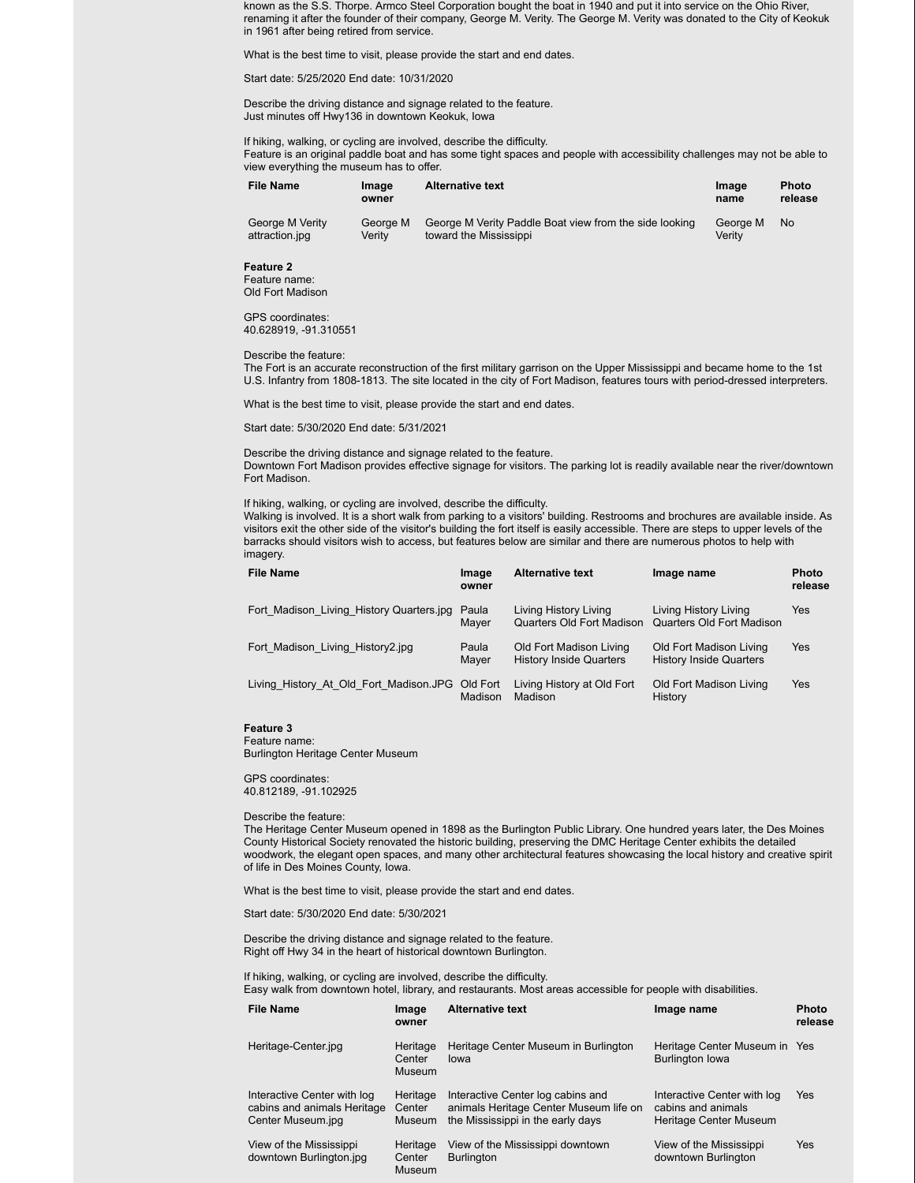known as the S.S. Thorpe. Armco Steel Corporation bought the boat in 1940 and put it into service on the Ohio River, renaming it after the founder of their company, George M. Verity. The George M. Verity was donated to the City of Keokuk in 1961 after being retired from service.

What is the best time to visit, please provide the start and end dates.

Start date: 5/25/2020 End date: 10/31/2020

Describe the driving distance and signage related to the feature. Just minutes off Hwy136 in downtown Keokuk, Iowa

If hiking, walking, or cycling are involved, describe the difficulty. Feature is an original paddle boat and has some tight spaces and people with accessibility challenges may not be able to view everything the museum has to offer.

| <b>File Name</b> | Image<br>owner | <b>Alternative text</b>                                | Image<br>name | <b>Photo</b><br>release |
|------------------|----------------|--------------------------------------------------------|---------------|-------------------------|
| George M Verity  | George M       | George M Verity Paddle Boat view from the side looking | George M      | <b>No</b>               |
| attraction.jpg   | Veritv         | toward the Mississippi                                 | Veritv        |                         |

#### **Feature 2**

Feature name: Old Fort Madison

GPS coordinates: 40.628919, -91.310551

Describe the feature:

The Fort is an accurate reconstruction of the first military garrison on the Upper Mississippi and became home to the 1st U.S. Infantry from 1808-1813. The site located in the city of Fort Madison, features tours with period-dressed interpreters.

What is the best time to visit, please provide the start and end dates.

Start date: 5/30/2020 End date: 5/31/2021

Describe the driving distance and signage related to the feature. Downtown Fort Madison provides effective signage for visitors. The parking lot is readily available near the river/downtown Fort Madison.

If hiking, walking, or cycling are involved, describe the difficulty.

Walking is involved. It is a short walk from parking to a visitors' building. Restrooms and brochures are available inside. As visitors exit the other side of the visitor's building the fort itself is easily accessible. There are steps to upper levels of the barracks should visitors wish to access, but features below are similar and there are numerous photos to help with imagery.

| File Name                                       | Image<br>owner | <b>Alternative text</b>                                   | Image name                                                | <b>Photo</b><br>release |
|-------------------------------------------------|----------------|-----------------------------------------------------------|-----------------------------------------------------------|-------------------------|
| Fort Madison Living History Quarters.jpg        | Paula<br>Mayer | Living History Living<br>Quarters Old Fort Madison        | Living History Living<br>Quarters Old Fort Madison        | Yes                     |
| Fort Madison Living History2.jpg                | Paula<br>Mayer | Old Fort Madison Living<br><b>History Inside Quarters</b> | Old Fort Madison Living<br><b>History Inside Quarters</b> | Yes                     |
| Living History At Old Fort Madison.JPG Old Fort | Madison        | Living History at Old Fort<br>Madison                     | Old Fort Madison Living<br>History                        | Yes                     |

#### **Feature 3**

Feature name: Burlington Heritage Center Museum

GPS coordinates: 40.812189, -91.102925

#### Describe the feature:

The Heritage Center Museum opened in 1898 as the Burlington Public Library. One hundred years later, the Des Moines County Historical Society renovated the historic building, preserving the DMC Heritage Center exhibits the detailed woodwork, the elegant open spaces, and many other architectural features showcasing the local history and creative spirit of life in Des Moines County, Iowa.

What is the best time to visit, please provide the start and end dates.

Start date: 5/30/2020 End date: 5/30/2021

Describe the driving distance and signage related to the feature. Right off Hwy 34 in the heart of historical downtown Burlington.

If hiking, walking, or cycling are involved, describe the difficulty.

| Easy walk from downtown hotel, library, and restaurants. Most areas accessible for people with disabilities. |                                     |                                                                                                                  |                                                                             |                         |  |
|--------------------------------------------------------------------------------------------------------------|-------------------------------------|------------------------------------------------------------------------------------------------------------------|-----------------------------------------------------------------------------|-------------------------|--|
| <b>File Name</b>                                                                                             | Image<br>owner                      | <b>Alternative text</b>                                                                                          | Image name                                                                  | <b>Photo</b><br>release |  |
| Heritage-Center.jpg                                                                                          | Heritage<br>Center<br><b>Museum</b> | Heritage Center Museum in Burlington<br>lowa                                                                     | Heritage Center Museum in Yes<br><b>Burlington lowa</b>                     |                         |  |
| Interactive Center with log<br>cabins and animals Heritage<br>Center Museum.jpg                              | Heritage<br>Center<br><b>Museum</b> | Interactive Center log cabins and<br>animals Heritage Center Museum life on<br>the Mississippi in the early days | Interactive Center with log<br>cabins and animals<br>Heritage Center Museum | Yes                     |  |

View of the Mississippi downtown Burlington.jpg Heritage **Center** Museum View of the Mississippi downtown **Burlington** View of the Mississippi downtown Burlington

Yes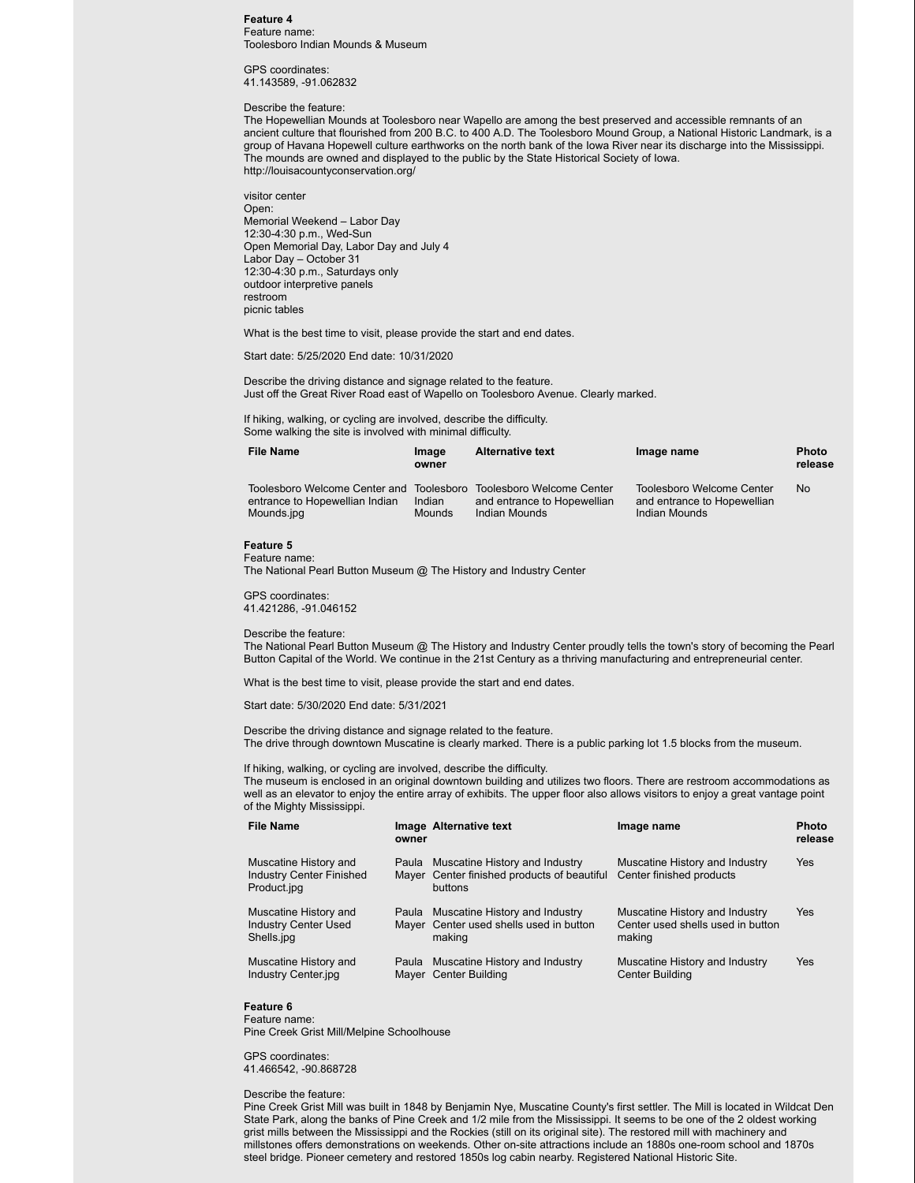#### **Feature 4** Feature name: Toolesboro Indian Mounds & Museum

GPS coordinates: 41.143589, -91.062832

#### Describe the feature:

The Hopewellian Mounds at Toolesboro near Wapello are among the best preserved and accessible remnants of an ancient culture that flourished from 200 B.C. to 400 A.D. The Toolesboro Mound Group, a National Historic Landmark, is a group of Havana Hopewell culture earthworks on the north bank of the Iowa River near its discharge into the Mississippi. The mounds are owned and displayed to the public by the State Historical Society of Iowa. http://louisacountyconservation.org/

visitor center Open: Memorial Weekend – Labor Day 12:30-4:30 p.m., Wed-Sun Open Memorial Day, Labor Day and July 4 Labor Day – October 31 12:30-4:30 p.m., Saturdays only outdoor interpretive panels restroom picnic tables

What is the best time to visit, please provide the start and end dates.

Start date: 5/25/2020 End date: 10/31/2020

Describe the driving distance and signage related to the feature. Just off the Great River Road east of Wapello on Toolesboro Avenue. Clearly marked.

If hiking, walking, or cycling are involved, describe the difficulty. Some walking the site is involved with minimal difficulty.

| <b>File Name</b>                                                           | <b>Image</b><br>owner | <b>Alternative text</b>                                  | Image name                                               | <b>Photo</b><br>release |
|----------------------------------------------------------------------------|-----------------------|----------------------------------------------------------|----------------------------------------------------------|-------------------------|
| Toolesboro Welcome Center and Toolesboro<br>entrance to Hopewellian Indian | Indian                | Toolesboro Welcome Center<br>and entrance to Hopewellian | Toolesboro Welcome Center<br>and entrance to Hopewellian | <b>No</b>               |
| Mounds.jpg                                                                 | Mounds                | Indian Mounds                                            | Indian Mounds                                            |                         |

## **Feature 5**

Feature name:

The National Pearl Button Museum @ The History and Industry Center

GPS coordinates: 41.421286, -91.046152

#### Describe the feature:

The National Pearl Button Museum @ The History and Industry Center proudly tells the town's story of becoming the Pearl Button Capital of the World. We continue in the 21st Century as a thriving manufacturing and entrepreneurial center.

What is the best time to visit, please provide the start and end dates.

Start date: 5/30/2020 End date: 5/31/2021

Describe the driving distance and signage related to the feature. The drive through downtown Muscatine is clearly marked. There is a public parking lot 1.5 blocks from the museum.

If hiking, walking, or cycling are involved, describe the difficulty.

The museum is enclosed in an original downtown building and utilizes two floors. There are restroom accommodations as well as an elevator to enjoy the entire array of exhibits. The upper floor also allows visitors to enjoy a great vantage point of the Mighty Mississippi.

| <b>File Name</b>                                                        | owner | Image Alternative text                                                                         | Image name                                                                    | <b>Photo</b><br>release |
|-------------------------------------------------------------------------|-------|------------------------------------------------------------------------------------------------|-------------------------------------------------------------------------------|-------------------------|
| Muscatine History and<br><b>Industry Center Finished</b><br>Product.jpg |       | Paula Muscatine History and Industry<br>Mayer Center finished products of beautiful<br>buttons | Muscatine History and Industry<br>Center finished products                    | <b>Yes</b>              |
| Muscatine History and<br><b>Industry Center Used</b><br>Shells.jpg      |       | Paula Muscatine History and Industry<br>Mayer Center used shells used in button<br>making      | Muscatine History and Industry<br>Center used shells used in button<br>making | Yes                     |
| Muscatine History and<br>Industry Center.jpg                            |       | Paula Muscatine History and Industry<br>Mayer Center Building                                  | Muscatine History and Industry<br>Center Building                             | <b>Yes</b>              |

#### **Feature 6** Feature name:

Pine Creek Grist Mill/Melpine Schoolhouse

#### GPS coordinates:

41.466542, -90.868728

### Describe the feature:

Pine Creek Grist Mill was built in 1848 by Benjamin Nye, Muscatine County's first settler. The Mill is located in Wildcat Den State Park, along the banks of Pine Creek and 1/2 mile from the Mississippi. It seems to be one of the 2 oldest working grist mills between the Mississippi and the Rockies (still on its original site). The restored mill with machinery and millstones offers demonstrations on weekends. Other on-site attractions include an 1880s one-room school and 1870s steel bridge. Pioneer cemetery and restored 1850s log cabin nearby. Registered National Historic Site.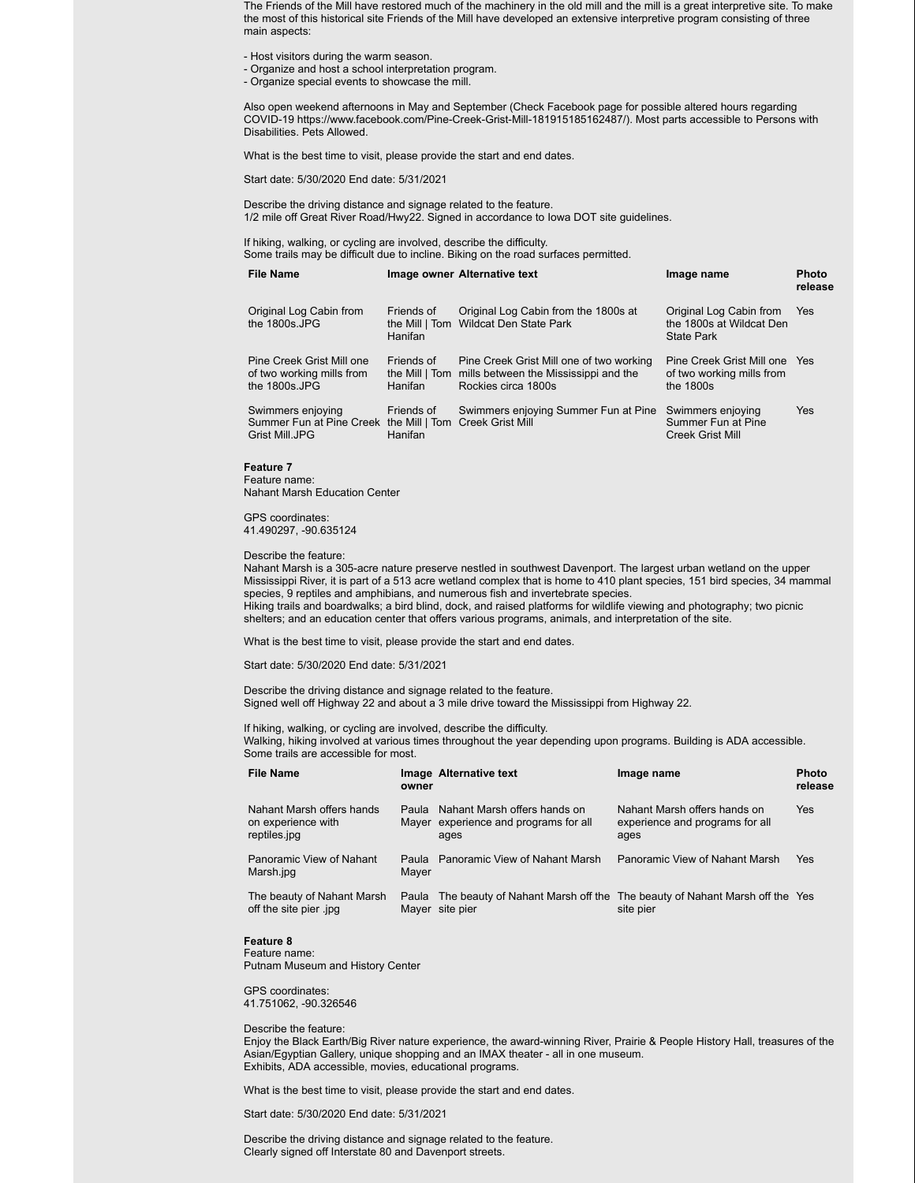The Friends of the Mill have restored much of the machinery in the old mill and the mill is a great interpretive site. To make the most of this historical site Friends of the Mill have developed an extensive interpretive program consisting of three main aspects:

- Host visitors during the warm season.
- Organize and host a school interpretation program.
- Organize special events to showcase the mill.

Also open weekend afternoons in May and September (Check Facebook page for possible altered hours regarding COVID-19 https://www.facebook.com/Pine-Creek-Grist-Mill-181915185162487/). Most parts accessible to Persons with Disabilities. Pets Allowed.

What is the best time to visit, please provide the start and end dates.

Start date: 5/30/2020 End date: 5/31/2021

Describe the driving distance and signage related to the feature. 1/2 mile off Great River Road/Hwy22. Signed in accordance to Iowa DOT site guidelines.

If hiking, walking, or cycling are involved, describe the difficulty. Some trails may be difficult due to incline. Biking on the road surfaces permitted.

| File Name                                                                                       |                                         | Image owner Alternative text                                                                             | Image name                                                                | <b>Photo</b><br>release |
|-------------------------------------------------------------------------------------------------|-----------------------------------------|----------------------------------------------------------------------------------------------------------|---------------------------------------------------------------------------|-------------------------|
| Original Log Cabin from<br>the 1800s.JPG                                                        | Friends of<br>Hanifan                   | Original Log Cabin from the 1800s at<br>the Mill   Tom Wildcat Den State Park                            | Original Log Cabin from<br>the 1800s at Wildcat Den<br><b>State Park</b>  | Yes                     |
| Pine Creek Grist Mill one<br>of two working mills from<br>the 1800s.JPG                         | Friends of<br>the Mill   Tom<br>Hanifan | Pine Creek Grist Mill one of two working<br>mills between the Mississippi and the<br>Rockies circa 1800s | Pine Creek Grist Mill one Yes<br>of two working mills from<br>the $1800s$ |                         |
| Swimmers enjoying<br>Summer Fun at Pine Creek the Mill   Tom Creek Grist Mill<br>Grist Mill.JPG | Friends of<br>Hanifan                   | Swimmers enjoying Summer Fun at Pine                                                                     | Swimmers enjoying<br>Summer Fun at Pine<br><b>Creek Grist Mill</b>        | Yes                     |

#### **Feature 7** Feature name:

Nahant Marsh Education Center

GPS coordinates: 41.490297, -90.635124

Describe the feature:

Nahant Marsh is a 305-acre nature preserve nestled in southwest Davenport. The largest urban wetland on the upper Mississippi River, it is part of a 513 acre wetland complex that is home to 410 plant species, 151 bird species, 34 mammal species, 9 reptiles and amphibians, and numerous fish and invertebrate species.

Hiking trails and boardwalks; a bird blind, dock, and raised platforms for wildlife viewing and photography; two picnic shelters; and an education center that offers various programs, animals, and interpretation of the site.

What is the best time to visit, please provide the start and end dates.

Start date: 5/30/2020 End date: 5/31/2021

## Describe the driving distance and signage related to the feature.

Signed well off Highway 22 and about a 3 mile drive toward the Mississippi from Highway 22.

If hiking, walking, or cycling are involved, describe the difficulty.

Walking, hiking involved at various times throughout the year depending upon programs. Building is ADA accessible. Some trails are accessible for most.

| <b>File Name</b>                                                | owner  | Image Alternative text                                                                       | Image name                                                              | <b>Photo</b><br>release |
|-----------------------------------------------------------------|--------|----------------------------------------------------------------------------------------------|-------------------------------------------------------------------------|-------------------------|
| Nahant Marsh offers hands<br>on experience with<br>reptiles.jpg | Paula. | Nahant Marsh offers hands on<br>Mayer experience and programs for all<br>ages                | Nahant Marsh offers hands on<br>experience and programs for all<br>ages | <b>Yes</b>              |
| Panoramic View of Nahant<br>Marsh.jpg                           | Mayer  | Paula Panoramic View of Nahant Marsh                                                         | Panoramic View of Nahant Marsh                                          | <b>Yes</b>              |
| The beauty of Nahant Marsh<br>off the site pier .jpg            | Paula  | The beauty of Nahant Marsh off the The beauty of Nahant Marsh off the Yes<br>Mayer site pier | site pier                                                               |                         |

#### **Feature 8**

Feature name: Putnam Museum and History Center

GPS coordinates: 41.751062, -90.326546

#### Describe the feature:

Enjoy the Black Earth/Big River nature experience, the award-winning River, Prairie & People History Hall, treasures of the Asian/Egyptian Gallery, unique shopping and an IMAX theater - all in one museum. Exhibits, ADA accessible, movies, educational programs.

What is the best time to visit, please provide the start and end dates.

Start date: 5/30/2020 End date: 5/31/2021

Describe the driving distance and signage related to the feature. Clearly signed off Interstate 80 and Davenport streets.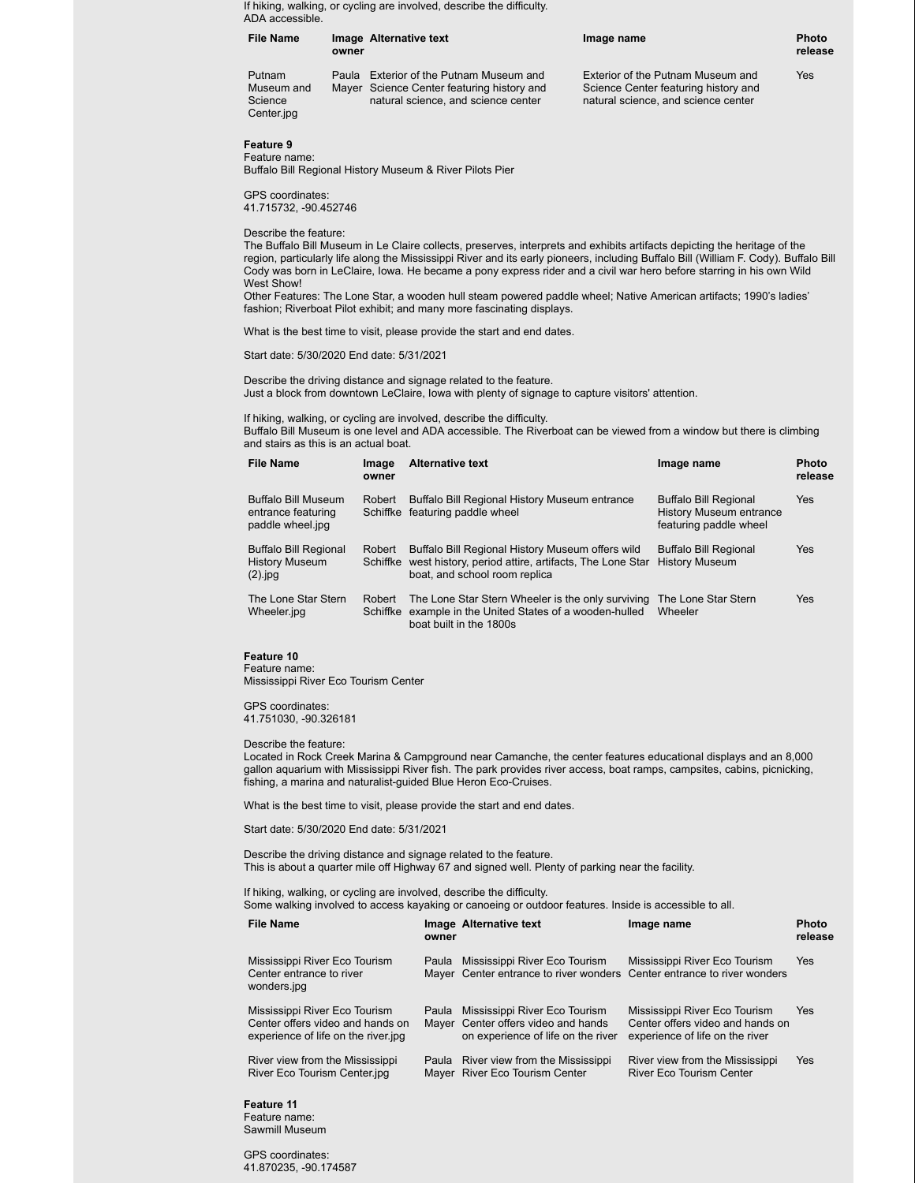If hiking, walking, or cycling are involved, describe the difficulty. ADA accessible.

| <b>File Name</b>                              | owner | Image Alternative text                                                                                                 | Image name                                                                                                       | <b>Photo</b><br>release |
|-----------------------------------------------|-------|------------------------------------------------------------------------------------------------------------------------|------------------------------------------------------------------------------------------------------------------|-------------------------|
| Putnam<br>Museum and<br>Science<br>Center.jpg | Paula | Exterior of the Putnam Museum and<br>Mayer Science Center featuring history and<br>natural science, and science center | Exterior of the Putnam Museum and<br>Science Center featuring history and<br>natural science, and science center | Yes                     |

## **Feature 9**

Feature name: Buffalo Bill Regional History Museum & River Pilots Pier

GPS coordinates: 41.715732, -90.452746

Describe the feature:

The Buffalo Bill Museum in Le Claire collects, preserves, interprets and exhibits artifacts depicting the heritage of the region, particularly life along the Mississippi River and its early pioneers, including Buffalo Bill (William F. Cody). Buffalo Bill Cody was born in LeClaire, Iowa. He became a pony express rider and a civil war hero before starring in his own Wild West Show!

Other Features: The Lone Star, a wooden hull steam powered paddle wheel; Native American artifacts; 1990's ladies' fashion; Riverboat Pilot exhibit; and many more fascinating displays.

What is the best time to visit, please provide the start and end dates.

Start date: 5/30/2020 End date: 5/31/2021

Describe the driving distance and signage related to the feature. Just a block from downtown LeClaire, Iowa with plenty of signage to capture visitors' attention.

If hiking, walking, or cycling are involved, describe the difficulty.

Buffalo Bill Museum is one level and ADA accessible. The Riverboat can be viewed from a window but there is climbing and stairs as this is an actual boat.

| <b>File Name</b>                                                     | Image<br>owner | <b>Alternative text</b>                                                                                                                             | Image name                                                                               | <b>Photo</b><br>release |
|----------------------------------------------------------------------|----------------|-----------------------------------------------------------------------------------------------------------------------------------------------------|------------------------------------------------------------------------------------------|-------------------------|
| Buffalo Bill Museum<br>entrance featuring<br>paddle wheel.jpg        | Robert         | Buffalo Bill Regional History Museum entrance<br>Schiffke featuring paddle wheel                                                                    | <b>Buffalo Bill Regional</b><br><b>History Museum entrance</b><br>featuring paddle wheel | Yes                     |
| <b>Buffalo Bill Regional</b><br><b>History Museum</b><br>$(2)$ . jpg | Robert         | Buffalo Bill Regional History Museum offers wild<br>Schiffke west history, period attire, artifacts, The Lone Star<br>boat, and school room replica | <b>Buffalo Bill Regional</b><br><b>History Museum</b>                                    | Yes                     |
| The Lone Star Stern<br>Wheeler.jpg                                   | Robert         | The Lone Star Stern Wheeler is the only surviving<br>Schiffke example in the United States of a wooden-hulled<br>boat built in the 1800s            | The Lone Star Stern<br>Wheeler                                                           | Yes                     |

#### **Feature 10**

Feature name: Mississippi River Eco Tourism Center

GPS coordinates: 41.751030, -90.326181

Describe the feature:

Located in Rock Creek Marina & Campground near Camanche, the center features educational displays and an 8,000 gallon aquarium with Mississippi River fish. The park provides river access, boat ramps, campsites, cabins, picnicking, fishing, a marina and naturalist-guided Blue Heron Eco-Cruises.

What is the best time to visit, please provide the start and end dates.

Start date: 5/30/2020 End date: 5/31/2021

Describe the driving distance and signage related to the feature. This is about a quarter mile off Highway 67 and signed well. Plenty of parking near the facility.

If hiking, walking, or cycling are involved, describe the difficulty.

Some walking involved to access kayaking or canoeing or outdoor features. Inside is accessible to all.

| <b>File Name</b>                                                                                          | owner | Image Alternative text                                                                                     | Image name                                                                                           | <b>Photo</b><br>release |
|-----------------------------------------------------------------------------------------------------------|-------|------------------------------------------------------------------------------------------------------------|------------------------------------------------------------------------------------------------------|-------------------------|
| Mississippi River Eco Tourism<br>Center entrance to river<br>wonders.jpg                                  | Paula | Mississippi River Eco Tourism<br>Mayer Center entrance to river wonders Center entrance to river wonders   | Mississippi River Eco Tourism                                                                        | Yes                     |
| Mississippi River Eco Tourism<br>Center offers video and hands on<br>experience of life on the river ipg. | Paula | Mississippi River Eco Tourism<br>Mayer Center offers video and hands<br>on experience of life on the river | Mississippi River Eco Tourism<br>Center offers video and hands on<br>experience of life on the river | Yes                     |
| River view from the Mississippi<br>River Eco Tourism Center.jpg                                           |       | Paula River view from the Mississippi<br>Mayer River Eco Tourism Center                                    | River view from the Mississippi<br>River Eco Tourism Center                                          | <b>Yes</b>              |

**Feature 11** Feature name: Sawmill Museum

GPS coordinates: 41.870235, -90.174587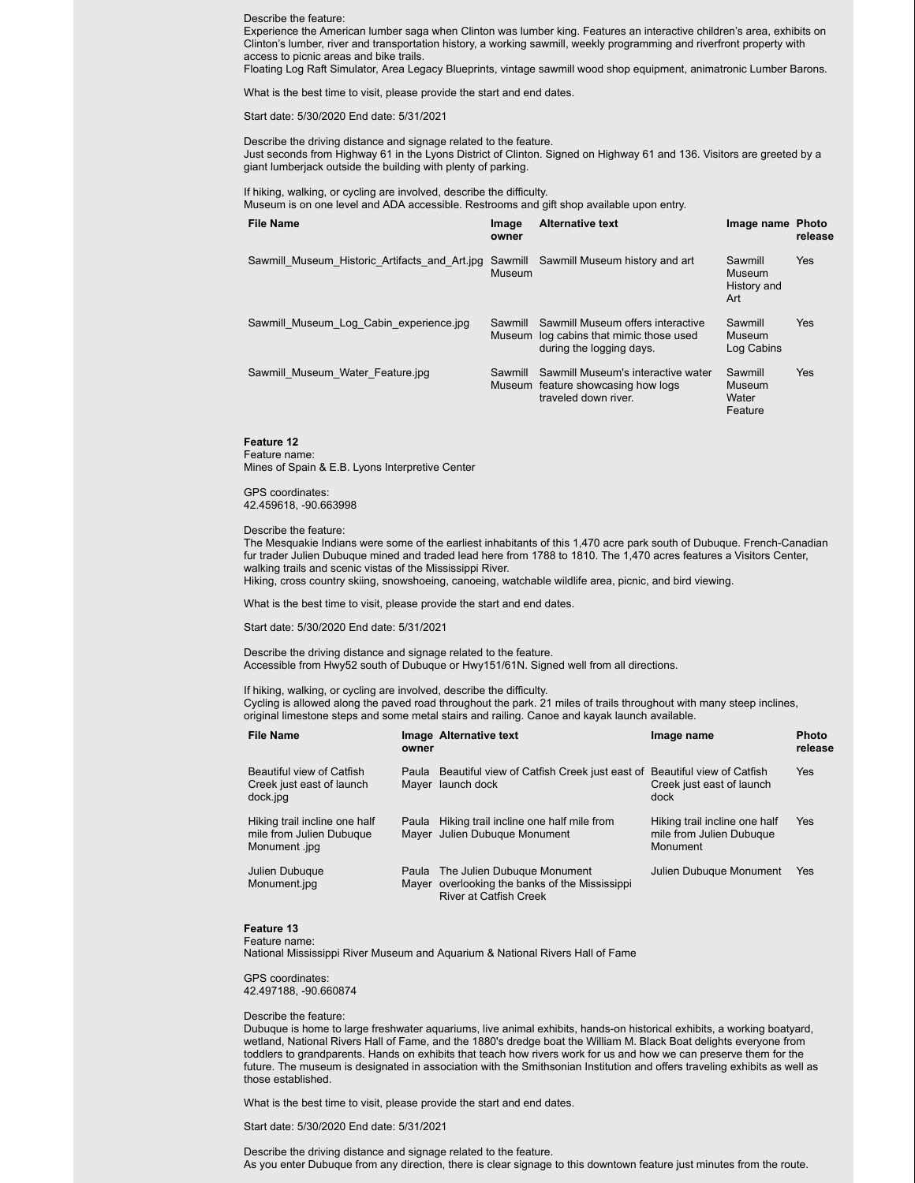#### Describe the feature:

Experience the American lumber saga when Clinton was lumber king. Features an interactive children's area, exhibits on Clinton's lumber, river and transportation history, a working sawmill, weekly programming and riverfront property with access to picnic areas and bike trails.

Floating Log Raft Simulator, Area Legacy Blueprints, vintage sawmill wood shop equipment, animatronic Lumber Barons.

What is the best time to visit, please provide the start and end dates.

Start date: 5/30/2020 End date: 5/31/2021

Describe the driving distance and signage related to the feature. Just seconds from Highway 61 in the Lyons District of Clinton. Signed on Highway 61 and 136. Visitors are greeted by a giant lumberjack outside the building with plenty of parking.

If hiking, walking, or cycling are involved, describe the difficulty.

Museum is on one level and ADA accessible. Restrooms and gift shop available upon entry.

| <b>File Name</b>                              | Image<br>owner    | <b>Alternative text</b>                                                                                  | Image name Photo                        | release    |
|-----------------------------------------------|-------------------|----------------------------------------------------------------------------------------------------------|-----------------------------------------|------------|
| Sawmill Museum Historic Artifacts and Art.jpg | Sawmill<br>Museum | Sawmill Museum history and art                                                                           | Sawmill<br>Museum<br>History and<br>Art | <b>Yes</b> |
| Sawmill Museum Log Cabin experience.jpg       | Sawmill           | Sawmill Museum offers interactive<br>Museum log cabins that mimic those used<br>during the logging days. | Sawmill<br>Museum<br>Log Cabins         | <b>Yes</b> |
| Sawmill Museum Water Feature.jpg              | Sawmill           | Sawmill Museum's interactive water<br>Museum feature showcasing how logs<br>traveled down river.         | Sawmill<br>Museum<br>Water<br>Feature   | Yes        |

#### **Feature 12**

Feature name: Mines of Spain & E.B. Lyons Interpretive Center

GPS coordinates: 42.459618, -90.663998

#### Describe the feature:

The Mesquakie Indians were some of the earliest inhabitants of this 1,470 acre park south of Dubuque. French-Canadian fur trader Julien Dubuque mined and traded lead here from 1788 to 1810. The 1,470 acres features a Visitors Center, walking trails and scenic vistas of the Mississippi River.

Hiking, cross country skiing, snowshoeing, canoeing, watchable wildlife area, picnic, and bird viewing.

What is the best time to visit, please provide the start and end dates.

#### Start date: 5/30/2020 End date: 5/31/2021

Describe the driving distance and signage related to the feature. Accessible from Hwy52 south of Dubuque or Hwy151/61N. Signed well from all directions.

If hiking, walking, or cycling are involved, describe the difficulty. Cycling is allowed along the paved road throughout the park. 21 miles of trails throughout with many steep inclines, original limestone steps and some metal stairs and railing. Canoe and kayak launch available.

| <b>File Name</b>                                                           | owner | Image Alternative text                                                                                         | Image name                                                            | <b>Photo</b><br>release |
|----------------------------------------------------------------------------|-------|----------------------------------------------------------------------------------------------------------------|-----------------------------------------------------------------------|-------------------------|
| Beautiful view of Catfish<br>Creek just east of launch<br>dock.jpg         | Paula | Beautiful view of Catfish Creek just east of Beautiful view of Catfish<br>Mayer launch dock                    | Creek just east of launch<br>dock                                     | <b>Yes</b>              |
| Hiking trail incline one half<br>mile from Julien Dubuque<br>Monument .jpg | Paula | Hiking trail incline one half mile from<br>Mayer Julien Dubuque Monument                                       | Hiking trail incline one half<br>mile from Julien Dubuque<br>Monument | <b>Yes</b>              |
| Julien Dubugue<br>Monument.jpg                                             | Paula | The Julien Dubuque Monument<br>Mayer overlooking the banks of the Mississippi<br><b>River at Catfish Creek</b> | Julien Dubuque Monument                                               | <b>Yes</b>              |

#### **Feature 13**

Feature name:

National Mississippi River Museum and Aquarium & National Rivers Hall of Fame

GPS coordinates: 42.497188, -90.660874

#### Describe the feature:

Dubuque is home to large freshwater aquariums, live animal exhibits, hands-on historical exhibits, a working boatyard, wetland, National Rivers Hall of Fame, and the 1880's dredge boat the William M. Black Boat delights everyone from toddlers to grandparents. Hands on exhibits that teach how rivers work for us and how we can preserve them for the future. The museum is designated in association with the Smithsonian Institution and offers traveling exhibits as well as those established.

What is the best time to visit, please provide the start and end dates.

Start date: 5/30/2020 End date: 5/31/2021

Describe the driving distance and signage related to the feature. As you enter Dubuque from any direction, there is clear signage to this downtown feature just minutes from the route.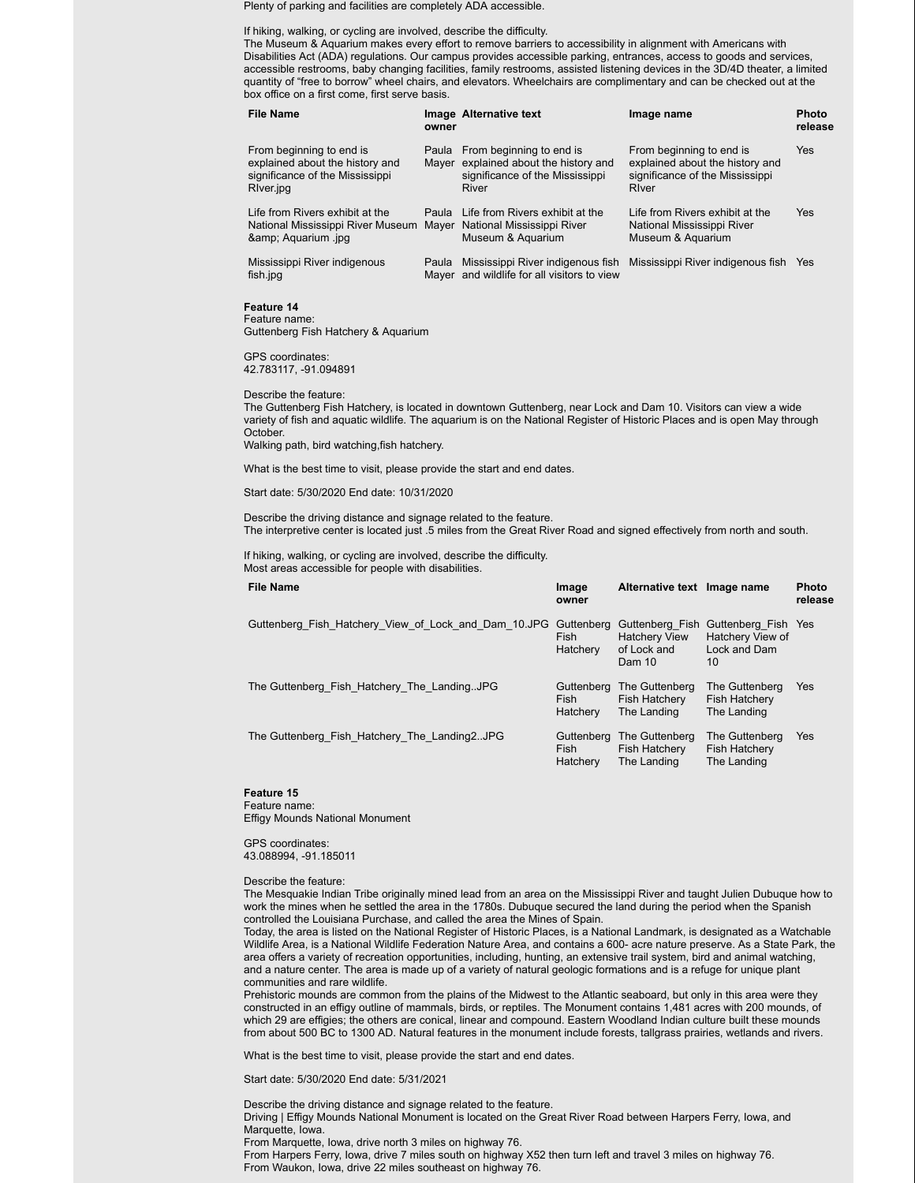Plenty of parking and facilities are completely ADA accessible.

If hiking, walking, or cycling are involved, describe the difficulty.

The Museum & Aquarium makes every effort to remove barriers to accessibility in alignment with Americans with Disabilities Act (ADA) regulations. Our campus provides accessible parking, entrances, access to goods and services, accessible restrooms, baby changing facilities, family restrooms, assisted listening devices in the 3D/4D theater, a limited quantity of "free to borrow" wheel chairs, and elevators. Wheelchairs are complimentary and can be checked out at the box office on a first come, first serve basis.

| <b>File Name</b>                                                                                            | owner | Image Alternative text                                                                                              | Image name                                                                                              | <b>Photo</b><br>release |
|-------------------------------------------------------------------------------------------------------------|-------|---------------------------------------------------------------------------------------------------------------------|---------------------------------------------------------------------------------------------------------|-------------------------|
| From beginning to end is<br>explained about the history and<br>significance of the Mississippi<br>River.jpg |       | Paula From beginning to end is<br>Mayer explained about the history and<br>significance of the Mississippi<br>River | From beginning to end is<br>explained about the history and<br>significance of the Mississippi<br>River | <b>Yes</b>              |
| Life from Rivers exhibit at the<br>National Mississippi River Museum<br>& Aguarium .jpg                     | Paula | Life from Rivers exhibit at the<br>Mayer National Mississippi River<br>Museum & Aquarium                            | Life from Rivers exhibit at the<br>National Mississippi River<br>Museum & Aquarium                      | <b>Yes</b>              |
| Mississippi River indigenous<br>fish.jpg                                                                    | Paula | Mayer and wildlife for all visitors to view                                                                         | Mississippi River indigenous fish Mississippi River indigenous fish Yes                                 |                         |

#### **Feature 14**

Feature name: Guttenberg Fish Hatchery & Aquarium

GPS coordinates: 42.783117, -91.094891

#### Describe the feature:

The Guttenberg Fish Hatchery, is located in downtown Guttenberg, near Lock and Dam 10. Visitors can view a wide variety of fish and aquatic wildlife. The aquarium is on the National Register of Historic Places and is open May through October. Walking path, bird watching,fish hatchery.

What is the best time to visit, please provide the start and end dates.

Start date: 5/30/2020 End date: 10/31/2020

Describe the driving distance and signage related to the feature. The interpretive center is located just .5 miles from the Great River Road and signed effectively from north and south.

If hiking, walking, or cycling are involved, describe the difficulty. Most areas accessible for people with disabilities.

| <b>File Name</b>                                     | Image<br>owner                        | Alternative text Image name                                      |                                                               | <b>Photo</b><br>release |
|------------------------------------------------------|---------------------------------------|------------------------------------------------------------------|---------------------------------------------------------------|-------------------------|
| Guttenberg Fish Hatchery View of Lock and Dam 10.JPG | Guttenberg<br><b>Fish</b><br>Hatchery | Guttenberg Fish<br><b>Hatchery View</b><br>of Lock and<br>Dam 10 | Guttenberg Fish Yes<br>Hatchery View of<br>Lock and Dam<br>10 |                         |
| The Guttenberg Fish Hatchery The LandingJPG          | Guttenberg<br>Fish<br>Hatchery        | The Guttenberg<br><b>Fish Hatchery</b><br>The Landing            | The Guttenberg<br><b>Fish Hatchery</b><br>The Landing         | Yes                     |
| The Guttenberg Fish Hatchery The Landing 2 JPG       | Guttenberg<br><b>Fish</b><br>Hatchery | The Guttenberg<br><b>Fish Hatchery</b><br>The Landing            | The Guttenberg<br><b>Fish Hatchery</b><br>The Landing         | Yes                     |

#### **Feature 15** Feature name:

Effigy Mounds National Monument

GPS coordinates: 43.088994, -91.185011

#### Describe the feature:

The Mesquakie Indian Tribe originally mined lead from an area on the Mississippi River and taught Julien Dubuque how to work the mines when he settled the area in the 1780s. Dubuque secured the land during the period when the Spanish controlled the Louisiana Purchase, and called the area the Mines of Spain.

Today, the area is listed on the National Register of Historic Places, is a National Landmark, is designated as a Watchable Wildlife Area, is a National Wildlife Federation Nature Area, and contains a 600- acre nature preserve. As a State Park, the area offers a variety of recreation opportunities, including, hunting, an extensive trail system, bird and animal watching, and a nature center. The area is made up of a variety of natural geologic formations and is a refuge for unique plant communities and rare wildlife.

Prehistoric mounds are common from the plains of the Midwest to the Atlantic seaboard, but only in this area were they constructed in an effigy outline of mammals, birds, or reptiles. The Monument contains 1,481 acres with 200 mounds, of which 29 are effigies; the others are conical, linear and compound. Eastern Woodland Indian culture built these mounds from about 500 BC to 1300 AD. Natural features in the monument include forests, tallgrass prairies, wetlands and rivers.

What is the best time to visit, please provide the start and end dates.

Start date: 5/30/2020 End date: 5/31/2021

Describe the driving distance and signage related to the feature. Driving | Effigy Mounds National Monument is located on the Great River Road between Harpers Ferry, Iowa, and Marquette, Iowa.

From Marquette, Iowa, drive north 3 miles on highway 76.

From Harpers Ferry, Iowa, drive 7 miles south on highway X52 then turn left and travel 3 miles on highway 76. From Waukon, Iowa, drive 22 miles southeast on highway 76.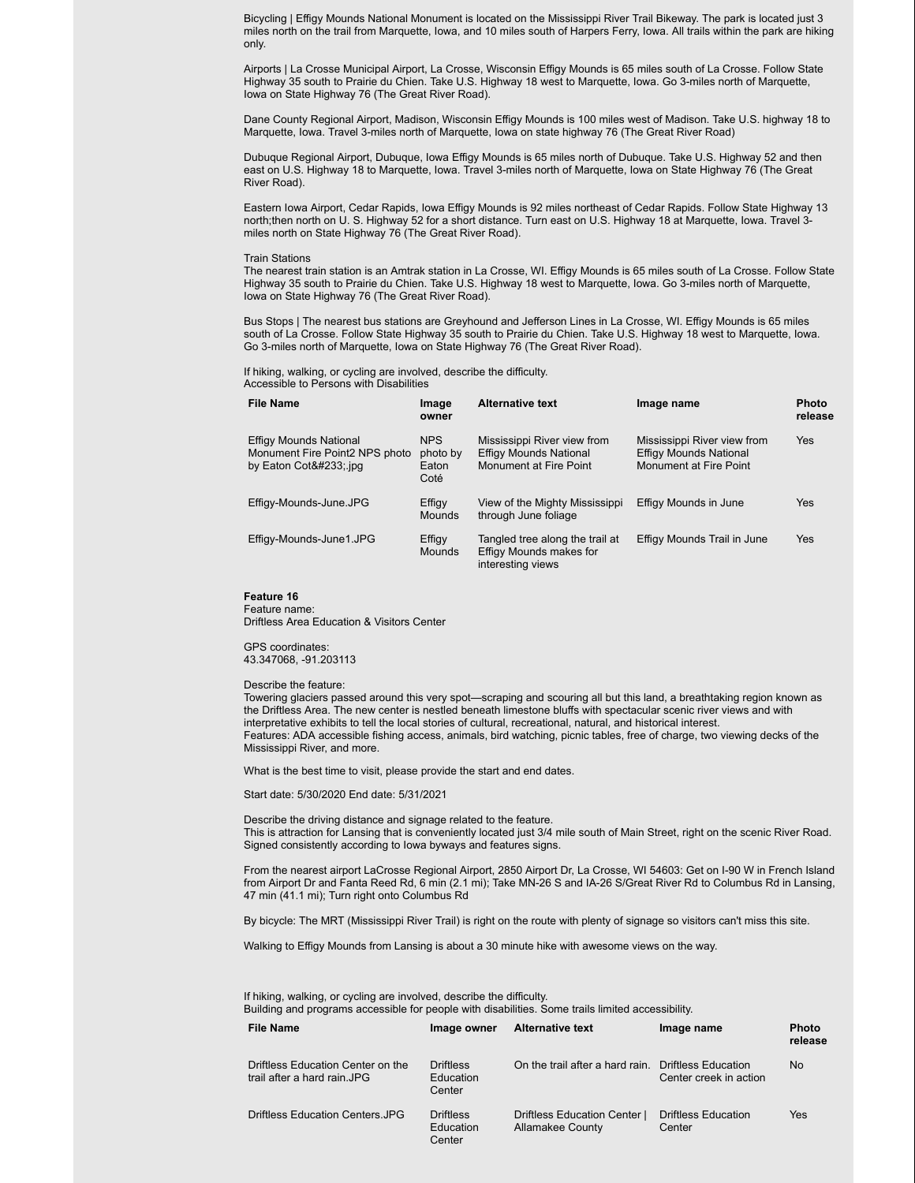Bicycling | Effigy Mounds National Monument is located on the Mississippi River Trail Bikeway. The park is located just 3 miles north on the trail from Marquette, Iowa, and 10 miles south of Harpers Ferry, Iowa. All trails within the park are hiking only.

Airports | La Crosse Municipal Airport, La Crosse, Wisconsin Effigy Mounds is 65 miles south of La Crosse. Follow State Highway 35 south to Prairie du Chien. Take U.S. Highway 18 west to Marquette, Iowa. Go 3-miles north of Marquette, Iowa on State Highway 76 (The Great River Road).

Dane County Regional Airport, Madison, Wisconsin Effigy Mounds is 100 miles west of Madison. Take U.S. highway 18 to Marquette, Iowa. Travel 3-miles north of Marquette, Iowa on state highway 76 (The Great River Road)

Dubuque Regional Airport, Dubuque, Iowa Effigy Mounds is 65 miles north of Dubuque. Take U.S. Highway 52 and then east on U.S. Highway 18 to Marquette, Iowa. Travel 3-miles north of Marquette, Iowa on State Highway 76 (The Great River Road).

Eastern Iowa Airport, Cedar Rapids, Iowa Effigy Mounds is 92 miles northeast of Cedar Rapids. Follow State Highway 13 north;then north on U. S. Highway 52 for a short distance. Turn east on U.S. Highway 18 at Marquette, Iowa. Travel 3 miles north on State Highway 76 (The Great River Road).

#### Train Stations

The nearest train station is an Amtrak station in La Crosse, WI. Effigy Mounds is 65 miles south of La Crosse. Follow State Highway 35 south to Prairie du Chien. Take U.S. Highway 18 west to Marquette, Iowa. Go 3-miles north of Marquette, Iowa on State Highway 76 (The Great River Road).

Bus Stops | The nearest bus stations are Greyhound and Jefferson Lines in La Crosse, WI. Effigy Mounds is 65 miles south of La Crosse. Follow State Highway 35 south to Prairie du Chien. Take U.S. Highway 18 west to Marquette, Iowa. Go 3-miles north of Marquette, Iowa on State Highway 76 (The Great River Road).

If hiking, walking, or cycling are involved, describe the difficulty. Accessible to Persons with Disabilities

| <b>File Name</b>                                                                     | Image<br>owner                          | <b>Alternative text</b>                                                                | Image name                                                                             | <b>Photo</b><br>release |
|--------------------------------------------------------------------------------------|-----------------------------------------|----------------------------------------------------------------------------------------|----------------------------------------------------------------------------------------|-------------------------|
| <b>Effigy Mounds National</b><br>Monument Fire Point2 NPS photo<br>by Eaton Coté ipg | <b>NPS</b><br>photo by<br>Eaton<br>Coté | Mississippi River view from<br><b>Effigy Mounds National</b><br>Monument at Fire Point | Mississippi River view from<br><b>Effigy Mounds National</b><br>Monument at Fire Point | Yes                     |
| Effigy-Mounds-June.JPG                                                               | Effigy<br>Mounds                        | View of the Mighty Mississippi<br>through June foliage                                 | Effigy Mounds in June                                                                  | Yes                     |
| Effigy-Mounds-June1.JPG                                                              | Effigy<br><b>Mounds</b>                 | Tangled tree along the trail at<br>Effigy Mounds makes for<br>interesting views        | Effigy Mounds Trail in June                                                            | Yes                     |

#### **Feature 16** Feature name:

Driftless Area Education & Visitors Center

GPS coordinates: 43.347068, -91.203113

#### Describe the feature:

Towering glaciers passed around this very spot—scraping and scouring all but this land, a breathtaking region known as the Driftless Area. The new center is nestled beneath limestone bluffs with spectacular scenic river views and with interpretative exhibits to tell the local stories of cultural, recreational, natural, and historical interest. Features: ADA accessible fishing access, animals, bird watching, picnic tables, free of charge, two viewing decks of the Mississippi River, and more.

What is the best time to visit, please provide the start and end dates.

Start date: 5/30/2020 End date: 5/31/2021

Describe the driving distance and signage related to the feature. This is attraction for Lansing that is conveniently located just 3/4 mile south of Main Street, right on the scenic River Road. Signed consistently according to Iowa byways and features signs.

From the nearest airport LaCrosse Regional Airport, 2850 Airport Dr, La Crosse, WI 54603: Get on I-90 W in French Island from Airport Dr and Fanta Reed Rd, 6 min (2.1 mi); Take MN-26 S and IA-26 S/Great River Rd to Columbus Rd in Lansing, 47 min (41.1 mi); Turn right onto Columbus Rd

By bicycle: The MRT (Mississippi River Trail) is right on the route with plenty of signage so visitors can't miss this site.

Walking to Effigy Mounds from Lansing is about a 30 minute hike with awesome views on the way.

If hiking, walking, or cycling are involved, describe the difficulty. Building and programs accessible for people with disabilities. Some trails limited accessibility.

| <b>File Name</b>                                                 | Image owner                             | <b>Alternative text</b>                                 | Image name                                           | <b>Photo</b><br>release |
|------------------------------------------------------------------|-----------------------------------------|---------------------------------------------------------|------------------------------------------------------|-------------------------|
| Driftless Education Center on the<br>trail after a hard rain.JPG | <b>Driftless</b><br>Education<br>Center | On the trail after a hard rain.                         | <b>Driftless Education</b><br>Center creek in action | No                      |
| Driftless Education Centers JPG                                  | <b>Driftless</b><br>Education<br>Center | Driftless Education Center  <br><b>Allamakee County</b> | <b>Driftless Education</b><br>Center                 | Yes                     |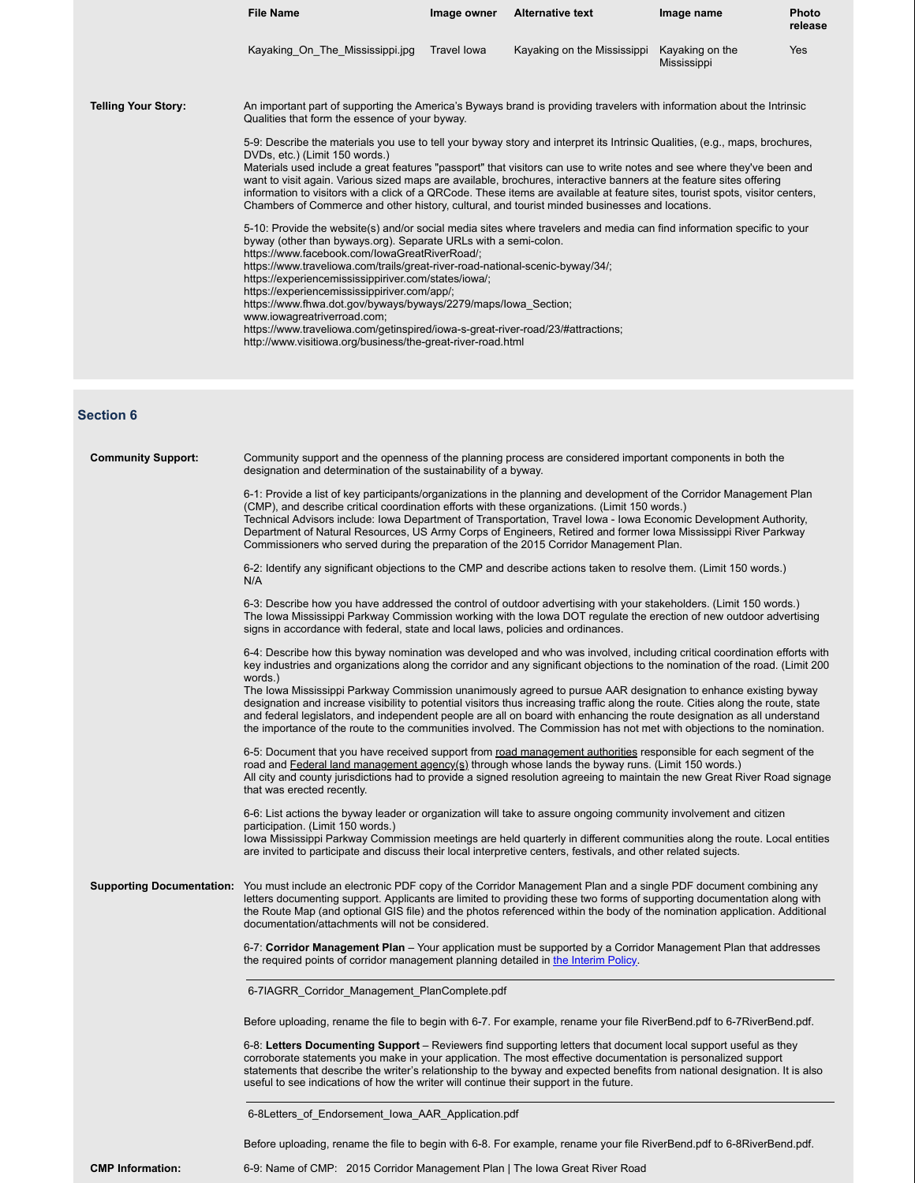|                            | <b>File Name</b>                                                                                                                                                                                                                                                                                                                                                                                                                                                                                                                                                                                                                                                                       | Image owner | <b>Alternative text</b>     | Image name                     | Photo<br>release |
|----------------------------|----------------------------------------------------------------------------------------------------------------------------------------------------------------------------------------------------------------------------------------------------------------------------------------------------------------------------------------------------------------------------------------------------------------------------------------------------------------------------------------------------------------------------------------------------------------------------------------------------------------------------------------------------------------------------------------|-------------|-----------------------------|--------------------------------|------------------|
|                            | Kayaking_On_The_Mississippi.jpg                                                                                                                                                                                                                                                                                                                                                                                                                                                                                                                                                                                                                                                        | Travel lowa | Kayaking on the Mississippi | Kayaking on the<br>Mississippi | Yes              |
| <b>Telling Your Story:</b> | An important part of supporting the America's Byways brand is providing travelers with information about the Intrinsic<br>Qualities that form the essence of your byway.                                                                                                                                                                                                                                                                                                                                                                                                                                                                                                               |             |                             |                                |                  |
|                            | 5-9: Describe the materials you use to tell your byway story and interpret its Intrinsic Qualities, (e.g., maps, brochures,<br>DVDs, etc.) (Limit 150 words.)<br>Materials used include a great features "passport" that visitors can use to write notes and see where they've been and<br>want to visit again. Various sized maps are available, brochures, interactive banners at the feature sites offering<br>information to visitors with a click of a QRCode. These items are available at feature sites, tourist spots, visitor centers,<br>Chambers of Commerce and other history, cultural, and tourist minded businesses and locations.                                      |             |                             |                                |                  |
|                            | 5-10: Provide the website(s) and/or social media sites where travelers and media can find information specific to your<br>byway (other than byways.org). Separate URLs with a semi-colon.<br>https://www.facebook.com/lowaGreatRiverRoad/;<br>https://www.traveliowa.com/trails/great-river-road-national-scenic-byway/34/;<br>https://experiencemississippiriver.com/states/iowa/;<br>https://experiencemississippiriver.com/app/;<br>https://www.fhwa.dot.gov/byways/byways/2279/maps/lowa_Section;<br>www.iowagreatriverroad.com;<br>https://www.traveliowa.com/getinspired/iowa-s-great-river-road/23/#attractions;<br>http://www.visitiowa.org/business/the-great-river-road.html |             |                             |                                |                  |
| <b>Section 6</b>           |                                                                                                                                                                                                                                                                                                                                                                                                                                                                                                                                                                                                                                                                                        |             |                             |                                |                  |
| <b>Community Support:</b>  | Community support and the openness of the planning process are considered important components in both the<br>designation and determination of the sustainability of a byway.                                                                                                                                                                                                                                                                                                                                                                                                                                                                                                          |             |                             |                                |                  |
|                            | 6-1: Provide a list of key participants/organizations in the planning and development of the Corridor Management Plan<br>(CMP), and describe critical coordination efforts with these organizations. (Limit 150 words.)<br>Technical Advisors include: Iowa Department of Transportation, Travel Iowa - Iowa Economic Development Authority,<br>Department of Natural Resources, US Army Corps of Engineers, Retired and former Iowa Mississippi River Parkway<br>Commissioners who served during the preparation of the 2015 Corridor Management Plan.                                                                                                                                |             |                             |                                |                  |
|                            | 6-2: Identify any significant objections to the CMP and describe actions taken to resolve them. (Limit 150 words.)<br>N/A                                                                                                                                                                                                                                                                                                                                                                                                                                                                                                                                                              |             |                             |                                |                  |
|                            | 6-3: Describe how you have addressed the control of outdoor advertising with your stakeholders. (Limit 150 words.)<br>The Iowa Mississippi Parkway Commission working with the Iowa DOT regulate the erection of new outdoor advertising<br>signs in accordance with federal, state and local laws, policies and ordinances.                                                                                                                                                                                                                                                                                                                                                           |             |                             |                                |                  |
|                            | 6-4: Describe how this byway nomination was developed and who was involved, including critical coordination efforts with<br>key industries and organizations along the corridor and any significant objections to the nomination of the road. (Limit 200<br>words.)                                                                                                                                                                                                                                                                                                                                                                                                                    |             |                             |                                |                  |
|                            | The Iowa Mississippi Parkway Commission unanimously agreed to pursue AAR designation to enhance existing byway<br>designation and increase visibility to potential visitors thus increasing traffic along the route. Cities along the route, state<br>and federal legislators, and independent people are all on board with enhancing the route designation as all understand<br>the importance of the route to the communities involved. The Commission has not met with objections to the nomination.                                                                                                                                                                                |             |                             |                                |                  |
|                            | 6-5: Document that you have received support from road management authorities responsible for each segment of the<br>road and Federal land management agency(s) through whose lands the byway runs. (Limit 150 words.)<br>All city and county jurisdictions had to provide a signed resolution agreeing to maintain the new Great River Road signage<br>that was erected recently.                                                                                                                                                                                                                                                                                                     |             |                             |                                |                  |
|                            | 6-6: List actions the byway leader or organization will take to assure ongoing community involvement and citizen<br>participation. (Limit 150 words.)<br>lowa Mississippi Parkway Commission meetings are held quarterly in different communities along the route. Local entities                                                                                                                                                                                                                                                                                                                                                                                                      |             |                             |                                |                  |
|                            | are invited to participate and discuss their local interpretive centers, festivals, and other related sujects.<br><b>Supporting Documentation:</b> You must include an electronic PDF copy of the Corridor Management Plan and a single PDF document combining any<br>letters documenting support. Applicants are limited to providing these two forms of supporting documentation along with<br>the Route Map (and optional GIS file) and the photos referenced within the body of the nomination application. Additional<br>documentation/attachments will not be considered.                                                                                                        |             |                             |                                |                  |
|                            | 6-7: Corridor Management Plan – Your application must be supported by a Corridor Management Plan that addresses<br>the required points of corridor management planning detailed in the Interim Policy.                                                                                                                                                                                                                                                                                                                                                                                                                                                                                 |             |                             |                                |                  |
|                            | 6-7IAGRR_Corridor_Management_PlanComplete.pdf                                                                                                                                                                                                                                                                                                                                                                                                                                                                                                                                                                                                                                          |             |                             |                                |                  |
|                            | Before uploading, rename the file to begin with 6-7. For example, rename your file RiverBend.pdf to 6-7RiverBend.pdf.                                                                                                                                                                                                                                                                                                                                                                                                                                                                                                                                                                  |             |                             |                                |                  |
|                            | 6-8: Letters Documenting Support – Reviewers find supporting letters that document local support useful as they<br>corroborate statements you make in your application. The most effective documentation is personalized support<br>statements that describe the writer's relationship to the byway and expected benefits from national designation. It is also<br>useful to see indications of how the writer will continue their support in the future.                                                                                                                                                                                                                              |             |                             |                                |                  |
|                            | 6-8Letters_of_Endorsement_lowa_AAR_Application.pdf                                                                                                                                                                                                                                                                                                                                                                                                                                                                                                                                                                                                                                     |             |                             |                                |                  |
|                            | Before uploading, rename the file to begin with 6-8. For example, rename your file RiverBend.pdf to 6-8RiverBend.pdf.                                                                                                                                                                                                                                                                                                                                                                                                                                                                                                                                                                  |             |                             |                                |                  |

**CMP Information:** 6-9: Name of CMP: 2015 Corridor Management Plan | The Iowa Great River Road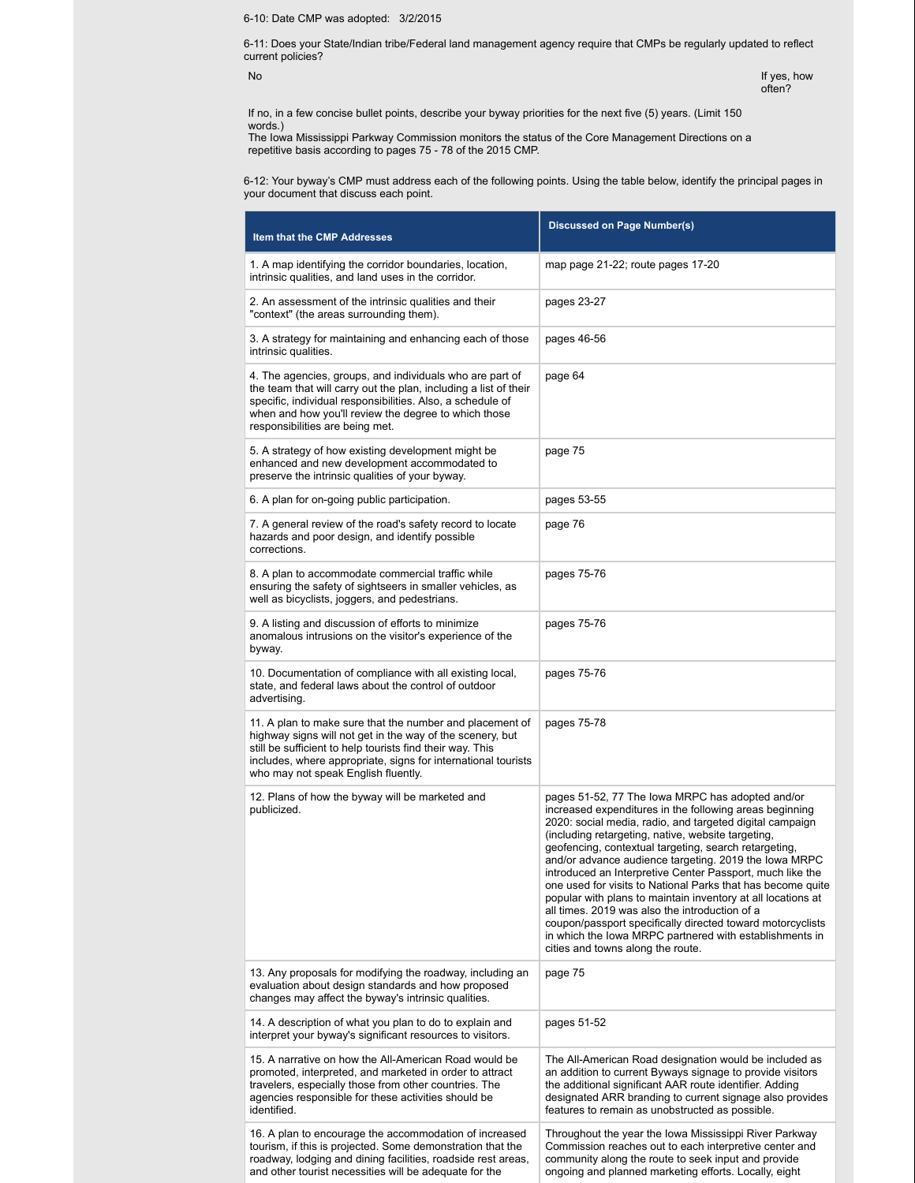6-10: Date CMP was adopted: 3/2/2015

6-11: Does your State/Indian tribe/Federal land management agency require that CMPs be regularly updated to reflect current policies?

No internal control of the control of the control of the control of the control of the control of the control of the control of the control of the control of the control of the control of the control of the control of the often?

If no, in a few concise bullet points, describe your byway priorities for the next five (5) years. (Limit 150 words.)

The Iowa Mississippi Parkway Commission monitors the status of the Core Management Directions on a repetitive basis according to pages 75 - 78 of the 2015 CMP.

6-12: Your byway's CMP must address each of the following points. Using the table below, identify the principal pages in your document that discuss each point.

| Item that the CMP Addresses                                                                                                                                                                                                                                                                | <b>Discussed on Page Number(s)</b>                                                                                                                                                                                                                                                                                                                                                                                                                                                                                                                                                                                                                                                                                                                          |
|--------------------------------------------------------------------------------------------------------------------------------------------------------------------------------------------------------------------------------------------------------------------------------------------|-------------------------------------------------------------------------------------------------------------------------------------------------------------------------------------------------------------------------------------------------------------------------------------------------------------------------------------------------------------------------------------------------------------------------------------------------------------------------------------------------------------------------------------------------------------------------------------------------------------------------------------------------------------------------------------------------------------------------------------------------------------|
| 1. A map identifying the corridor boundaries, location,<br>intrinsic qualities, and land uses in the corridor.                                                                                                                                                                             | map page 21-22; route pages 17-20                                                                                                                                                                                                                                                                                                                                                                                                                                                                                                                                                                                                                                                                                                                           |
| 2. An assessment of the intrinsic qualities and their<br>"context" (the areas surrounding them).                                                                                                                                                                                           | pages 23-27                                                                                                                                                                                                                                                                                                                                                                                                                                                                                                                                                                                                                                                                                                                                                 |
| 3. A strategy for maintaining and enhancing each of those<br>intrinsic qualities.                                                                                                                                                                                                          | pages 46-56                                                                                                                                                                                                                                                                                                                                                                                                                                                                                                                                                                                                                                                                                                                                                 |
| 4. The agencies, groups, and individuals who are part of<br>the team that will carry out the plan, including a list of their<br>specific, individual responsibilities. Also, a schedule of<br>when and how you'll review the degree to which those<br>responsibilities are being met.      | page 64                                                                                                                                                                                                                                                                                                                                                                                                                                                                                                                                                                                                                                                                                                                                                     |
| 5. A strategy of how existing development might be<br>enhanced and new development accommodated to<br>preserve the intrinsic qualities of your byway.                                                                                                                                      | page 75                                                                                                                                                                                                                                                                                                                                                                                                                                                                                                                                                                                                                                                                                                                                                     |
| 6. A plan for on-going public participation.                                                                                                                                                                                                                                               | pages 53-55                                                                                                                                                                                                                                                                                                                                                                                                                                                                                                                                                                                                                                                                                                                                                 |
| 7. A general review of the road's safety record to locate<br>hazards and poor design, and identify possible<br>corrections.                                                                                                                                                                | page 76                                                                                                                                                                                                                                                                                                                                                                                                                                                                                                                                                                                                                                                                                                                                                     |
| 8. A plan to accommodate commercial traffic while<br>ensuring the safety of sightseers in smaller vehicles, as<br>well as bicyclists, joggers, and pedestrians.                                                                                                                            | pages 75-76                                                                                                                                                                                                                                                                                                                                                                                                                                                                                                                                                                                                                                                                                                                                                 |
| 9. A listing and discussion of efforts to minimize<br>anomalous intrusions on the visitor's experience of the<br>byway.                                                                                                                                                                    | pages 75-76                                                                                                                                                                                                                                                                                                                                                                                                                                                                                                                                                                                                                                                                                                                                                 |
| 10. Documentation of compliance with all existing local,<br>state, and federal laws about the control of outdoor<br>advertising.                                                                                                                                                           | pages 75-76                                                                                                                                                                                                                                                                                                                                                                                                                                                                                                                                                                                                                                                                                                                                                 |
| 11. A plan to make sure that the number and placement of<br>highway signs will not get in the way of the scenery, but<br>still be sufficient to help tourists find their way. This<br>includes, where appropriate, signs for international tourists<br>who may not speak English fluently. | pages 75-78                                                                                                                                                                                                                                                                                                                                                                                                                                                                                                                                                                                                                                                                                                                                                 |
| 12. Plans of how the byway will be marketed and<br>publicized.                                                                                                                                                                                                                             | pages 51-52, 77 The lowa MRPC has adopted and/or<br>increased expenditures in the following areas beginning<br>2020: social media, radio, and targeted digital campaign<br>(including retargeting, native, website targeting,<br>geofencing, contextual targeting, search retargeting,<br>and/or advance audience targeting. 2019 the lowa MRPC<br>introduced an Interpretive Center Passport, much like the<br>one used for visits to National Parks that has become quite<br>popular with plans to maintain inventory at all locations at<br>all times. 2019 was also the introduction of a<br>coupon/passport specifically directed toward motorcyclists<br>in which the lowa MRPC partnered with establishments in<br>cities and towns along the route. |
| 13. Any proposals for modifying the roadway, including an<br>evaluation about design standards and how proposed<br>changes may affect the byway's intrinsic qualities.                                                                                                                     | page 75                                                                                                                                                                                                                                                                                                                                                                                                                                                                                                                                                                                                                                                                                                                                                     |
| 14. A description of what you plan to do to explain and<br>interpret your byway's significant resources to visitors.                                                                                                                                                                       | pages 51-52                                                                                                                                                                                                                                                                                                                                                                                                                                                                                                                                                                                                                                                                                                                                                 |
| 15. A narrative on how the All-American Road would be<br>promoted, interpreted, and marketed in order to attract<br>travelers, especially those from other countries. The<br>agencies responsible for these activities should be<br>identified.                                            | The All-American Road designation would be included as<br>an addition to current Byways signage to provide visitors<br>the additional significant AAR route identifier. Adding<br>designated ARR branding to current signage also provides<br>features to remain as unobstructed as possible.                                                                                                                                                                                                                                                                                                                                                                                                                                                               |
| 16. A plan to encourage the accommodation of increased<br>tourism, if this is projected. Some demonstration that the<br>roadway, lodging and dining facilities, roadside rest areas,<br>and other tourist necessities will be adequate for the                                             | Throughout the year the Iowa Mississippi River Parkway<br>Commission reaches out to each interpretive center and<br>community along the route to seek input and provide<br>ongoing and planned marketing efforts. Locally, eight                                                                                                                                                                                                                                                                                                                                                                                                                                                                                                                            |